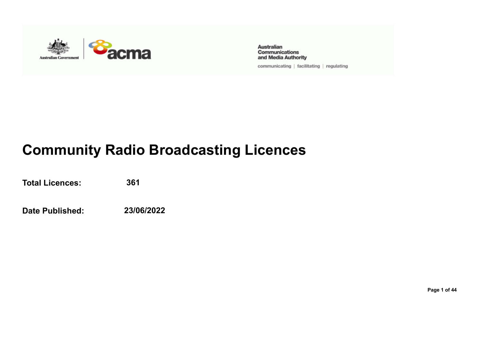

Australian Communications and Media Authority

communicating | facilitating | regulating

## **Community Radio Broadcasting Licences**

**Total Licences: 361**

**Date Published: 23/06/2022**

**Page 1 of 44**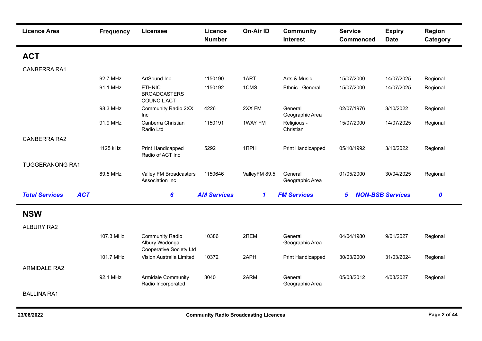| <b>Licence Area</b>                 | <b>Frequency</b> | <b>Licensee</b>                                                            | Licence<br><b>Number</b> | <b>On-Air ID</b> | <b>Community</b><br><b>Interest</b> | <b>Service</b><br><b>Commenced</b> | <b>Expiry</b><br><b>Date</b> | Region<br>Category |
|-------------------------------------|------------------|----------------------------------------------------------------------------|--------------------------|------------------|-------------------------------------|------------------------------------|------------------------------|--------------------|
| <b>ACT</b>                          |                  |                                                                            |                          |                  |                                     |                                    |                              |                    |
| <b>CANBERRA RA1</b>                 |                  |                                                                            |                          |                  |                                     |                                    |                              |                    |
|                                     | 92.7 MHz         | ArtSound Inc                                                               | 1150190                  | 1ART             | Arts & Music                        | 15/07/2000                         | 14/07/2025                   | Regional           |
|                                     | 91.1 MHz         | <b>ETHNIC</b><br><b>BROADCASTERS</b><br><b>COUNCIL ACT</b>                 | 1150192                  | 1CMS             | Ethnic - General                    | 15/07/2000                         | 14/07/2025                   | Regional           |
|                                     | 98.3 MHz         | Community Radio 2XX<br><b>Inc</b>                                          | 4226                     | 2XX FM           | General<br>Geographic Area          | 02/07/1976                         | 3/10/2022                    | Regional           |
|                                     | 91.9 MHz         | Canberra Christian<br>Radio Ltd                                            | 1150191                  | 1WAY FM          | Religious -<br>Christian            | 15/07/2000                         | 14/07/2025                   | Regional           |
| <b>CANBERRA RA2</b>                 |                  |                                                                            |                          |                  |                                     |                                    |                              |                    |
|                                     | 1125 kHz         | Print Handicapped<br>Radio of ACT Inc                                      | 5292                     | 1RPH             | Print Handicapped                   | 05/10/1992                         | 3/10/2022                    | Regional           |
| <b>TUGGERANONG RA1</b>              |                  |                                                                            |                          |                  |                                     |                                    |                              |                    |
|                                     | 89.5 MHz         | Valley FM Broadcasters<br>Association Inc                                  | 1150646                  | ValleyFM 89.5    | General<br>Geographic Area          | 01/05/2000                         | 30/04/2025                   | Regional           |
| <b>Total Services</b><br><b>ACT</b> |                  | 6                                                                          | <b>AM Services</b>       | $\mathbf{1}$     | <b>FM Services</b>                  | 5                                  | <b>NON-BSB Services</b>      | $\boldsymbol{0}$   |
| <b>NSW</b>                          |                  |                                                                            |                          |                  |                                     |                                    |                              |                    |
| <b>ALBURY RA2</b>                   |                  |                                                                            |                          |                  |                                     |                                    |                              |                    |
|                                     | 107.3 MHz        | <b>Community Radio</b><br>Albury Wodonga<br><b>Cooperative Society Ltd</b> | 10386                    | 2REM             | General<br>Geographic Area          | 04/04/1980                         | 9/01/2027                    | Regional           |
|                                     | 101.7 MHz        | Vision Australia Limited                                                   | 10372                    | 2APH             | Print Handicapped                   | 30/03/2000                         | 31/03/2024                   | Regional           |
| <b>ARMIDALE RA2</b>                 |                  |                                                                            |                          |                  |                                     |                                    |                              |                    |
|                                     | 92.1 MHz         | Armidale Community<br>Radio Incorporated                                   | 3040                     | 2ARM             | General<br>Geographic Area          | 05/03/2012                         | 4/03/2027                    | Regional           |
| <b>BALLINA RA1</b>                  |                  |                                                                            |                          |                  |                                     |                                    |                              |                    |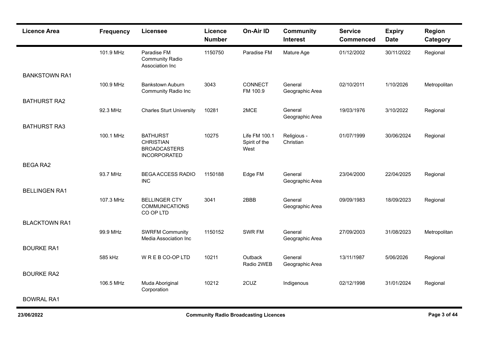|                      |           |                                                                                   | Licence<br><b>Number</b> | <b>On-Air ID</b>                       | <b>Community</b><br><b>Interest</b> | <b>Service</b><br><b>Commenced</b> | <b>Expiry</b><br><b>Date</b> | Region<br>Category |
|----------------------|-----------|-----------------------------------------------------------------------------------|--------------------------|----------------------------------------|-------------------------------------|------------------------------------|------------------------------|--------------------|
|                      | 101.9 MHz | Paradise FM<br><b>Community Radio</b><br>Association Inc                          | 1150750                  | Paradise FM                            | Mature Age                          | 01/12/2002                         | 30/11/2022                   | Regional           |
| <b>BANKSTOWN RA1</b> |           |                                                                                   |                          |                                        |                                     |                                    |                              |                    |
|                      | 100.9 MHz | <b>Bankstown Auburn</b><br><b>Community Radio Inc</b>                             | 3043                     | CONNECT<br>FM 100.9                    | General<br>Geographic Area          | 02/10/2011                         | 1/10/2026                    | Metropolitan       |
| <b>BATHURST RA2</b>  |           |                                                                                   |                          |                                        |                                     |                                    |                              |                    |
|                      | 92.3 MHz  | <b>Charles Sturt University</b>                                                   | 10281                    | 2MCE                                   | General<br>Geographic Area          | 19/03/1976                         | 3/10/2022                    | Regional           |
| <b>BATHURST RA3</b>  |           |                                                                                   |                          |                                        |                                     |                                    |                              |                    |
|                      | 100.1 MHz | <b>BATHURST</b><br><b>CHRISTIAN</b><br><b>BROADCASTERS</b><br><b>INCORPORATED</b> | 10275                    | Life FM 100.1<br>Spirit of the<br>West | Religious -<br>Christian            | 01/07/1999                         | 30/06/2024                   | Regional           |
| <b>BEGA RA2</b>      |           |                                                                                   |                          |                                        |                                     |                                    |                              |                    |
|                      | 93.7 MHz  | <b>BEGA ACCESS RADIO</b><br><b>INC</b>                                            | 1150188                  | Edge FM                                | General<br>Geographic Area          | 23/04/2000                         | 22/04/2025                   | Regional           |
| <b>BELLINGEN RA1</b> |           |                                                                                   |                          |                                        |                                     |                                    |                              |                    |
|                      | 107.3 MHz | <b>BELLINGER CTY</b><br><b>COMMUNICATIONS</b><br>CO OP LTD                        | 3041                     | 2BBB                                   | General<br>Geographic Area          | 09/09/1983                         | 18/09/2023                   | Regional           |
| <b>BLACKTOWN RA1</b> |           |                                                                                   |                          |                                        |                                     |                                    |                              |                    |
|                      | 99.9 MHz  | <b>SWRFM Community</b><br>Media Association Inc                                   | 1150152                  | SWR FM                                 | General<br>Geographic Area          | 27/09/2003                         | 31/08/2023                   | Metropolitan       |
| <b>BOURKE RA1</b>    |           |                                                                                   |                          |                                        |                                     |                                    |                              |                    |
|                      | 585 kHz   | WREBCO-OPLTD                                                                      | 10211                    | Outback<br>Radio 2WEB                  | General<br>Geographic Area          | 13/11/1987                         | 5/06/2026                    | Regional           |
| <b>BOURKE RA2</b>    |           |                                                                                   |                          |                                        |                                     |                                    |                              |                    |
|                      | 106.5 MHz | Muda Aboriginal<br>Corporation                                                    | 10212                    | 2CUZ                                   | Indigenous                          | 02/12/1998                         | 31/01/2024                   | Regional           |
| <b>BOWRAL RA1</b>    |           |                                                                                   |                          |                                        |                                     |                                    |                              |                    |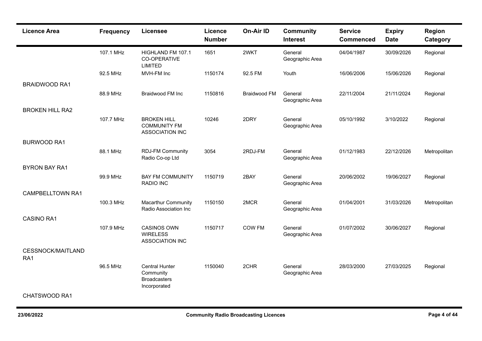| <b>Licence Area</b>             | <b>Frequency</b> | <b>Licensee</b>                                                           | Licence<br><b>Number</b> | <b>On-Air ID</b>    | <b>Community</b><br><b>Interest</b> | <b>Service</b><br><b>Commenced</b> | <b>Expiry</b><br><b>Date</b> | Region<br>Category |
|---------------------------------|------------------|---------------------------------------------------------------------------|--------------------------|---------------------|-------------------------------------|------------------------------------|------------------------------|--------------------|
|                                 | 107.1 MHz        | HIGHLAND FM 107.1<br>CO-OPERATIVE<br><b>LIMITED</b>                       | 1651                     | 2WKT                | General<br>Geographic Area          | 04/04/1987                         | 30/09/2026                   | Regional           |
|                                 | 92.5 MHz         | MVH-FM Inc                                                                | 1150174                  | 92.5 FM             | Youth                               | 16/06/2006                         | 15/06/2026                   | Regional           |
| <b>BRAIDWOOD RA1</b>            |                  |                                                                           |                          |                     |                                     |                                    |                              |                    |
|                                 | 88.9 MHz         | <b>Braidwood FM Inc</b>                                                   | 1150816                  | <b>Braidwood FM</b> | General<br>Geographic Area          | 22/11/2004                         | 21/11/2024                   | Regional           |
| <b>BROKEN HILL RA2</b>          |                  |                                                                           |                          |                     |                                     |                                    |                              |                    |
|                                 | 107.7 MHz        | <b>BROKEN HILL</b><br><b>COMMUNITY FM</b><br><b>ASSOCIATION INC</b>       | 10246                    | 2DRY                | General<br>Geographic Area          | 05/10/1992                         | 3/10/2022                    | Regional           |
| <b>BURWOOD RA1</b>              |                  |                                                                           |                          |                     |                                     |                                    |                              |                    |
|                                 | 88.1 MHz         | <b>RDJ-FM Community</b><br>Radio Co-op Ltd                                | 3054                     | 2RDJ-FM             | General<br>Geographic Area          | 01/12/1983                         | 22/12/2026                   | Metropolitan       |
| <b>BYRON BAY RA1</b>            |                  |                                                                           |                          |                     |                                     |                                    |                              |                    |
|                                 | 99.9 MHz         | <b>BAY FM COMMUNITY</b><br>RADIO INC                                      | 1150719                  | 2BAY                | General<br>Geographic Area          | 20/06/2002                         | 19/06/2027                   | Regional           |
| <b>CAMPBELLTOWN RA1</b>         |                  |                                                                           |                          |                     |                                     |                                    |                              |                    |
|                                 | 100.3 MHz        | <b>Macarthur Community</b><br>Radio Association Inc                       | 1150150                  | 2MCR                | General<br>Geographic Area          | 01/04/2001                         | 31/03/2026                   | Metropolitan       |
| <b>CASINO RA1</b>               |                  |                                                                           |                          |                     |                                     |                                    |                              |                    |
|                                 | 107.9 MHz        | <b>CASINOS OWN</b><br><b>WIRELESS</b><br>ASSOCIATION INC                  | 1150717                  | <b>COW FM</b>       | General<br>Geographic Area          | 01/07/2002                         | 30/06/2027                   | Regional           |
| <b>CESSNOCK/MAITLAND</b><br>RA1 |                  |                                                                           |                          |                     |                                     |                                    |                              |                    |
|                                 | 96.5 MHz         | <b>Central Hunter</b><br>Community<br><b>Broadcasters</b><br>Incorporated | 1150040                  | 2CHR                | General<br>Geographic Area          | 28/03/2000                         | 27/03/2025                   | Regional           |
| CHATSWOOD RA1                   |                  |                                                                           |                          |                     |                                     |                                    |                              |                    |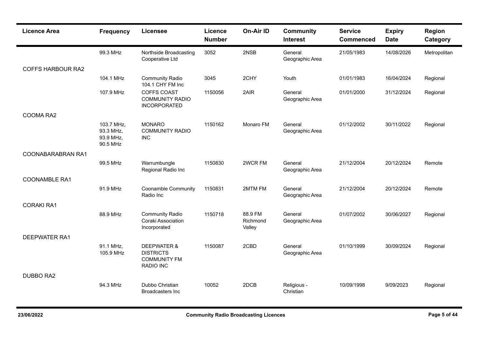| <b>Licence Area</b>      | <b>Frequency</b>                                 | Licensee                                                                       | <b>Licence</b><br><b>Number</b> | On-Air ID                     | <b>Community</b><br><b>Interest</b> | <b>Service</b><br><b>Commenced</b> | <b>Expiry</b><br><b>Date</b> | Region<br>Category |
|--------------------------|--------------------------------------------------|--------------------------------------------------------------------------------|---------------------------------|-------------------------------|-------------------------------------|------------------------------------|------------------------------|--------------------|
|                          | 99.3 MHz                                         | Northside Broadcasting<br>Cooperative Ltd                                      | 3052                            | 2NSB                          | General<br>Geographic Area          | 21/05/1983                         | 14/08/2026                   | Metropolitan       |
| <b>COFFS HARBOUR RA2</b> |                                                  |                                                                                |                                 |                               |                                     |                                    |                              |                    |
|                          | 104.1 MHz                                        | <b>Community Radio</b><br>104.1 CHY FM Inc                                     | 3045                            | 2CHY                          | Youth                               | 01/01/1983                         | 16/04/2024                   | Regional           |
|                          | 107.9 MHz                                        | <b>COFFS COAST</b><br><b>COMMUNITY RADIO</b><br><b>INCORPORATED</b>            | 1150056                         | 2AIR                          | General<br>Geographic Area          | 01/01/2000                         | 31/12/2024                   | Regional           |
| COOMA RA2                |                                                  |                                                                                |                                 |                               |                                     |                                    |                              |                    |
|                          | 103.7 MHz,<br>93.3 MHz,<br>93.9 MHz,<br>90.5 MHz | <b>MONARO</b><br><b>COMMUNITY RADIO</b><br><b>INC</b>                          | 1150162                         | Monaro FM                     | General<br>Geographic Area          | 01/12/2002                         | 30/11/2022                   | Regional           |
| COONABARABRAN RA1        |                                                  |                                                                                |                                 |                               |                                     |                                    |                              |                    |
|                          | 99.5 MHz                                         | Warrumbungle<br>Regional Radio Inc                                             | 1150830                         | 2WCR FM                       | General<br>Geographic Area          | 21/12/2004                         | 20/12/2024                   | Remote             |
| <b>COONAMBLE RA1</b>     |                                                  |                                                                                |                                 |                               |                                     |                                    |                              |                    |
|                          | 91.9 MHz                                         | Coonamble Community<br>Radio Inc                                               | 1150831                         | 2MTM FM                       | General<br>Geographic Area          | 21/12/2004                         | 20/12/2024                   | Remote             |
| <b>CORAKI RA1</b>        |                                                  |                                                                                |                                 |                               |                                     |                                    |                              |                    |
|                          | 88.9 MHz                                         | <b>Community Radio</b><br>Coraki Association<br>Incorporated                   | 1150718                         | 88.9 FM<br>Richmond<br>Valley | General<br>Geographic Area          | 01/07/2002                         | 30/06/2027                   | Regional           |
| <b>DEEPWATER RA1</b>     |                                                  |                                                                                |                                 |                               |                                     |                                    |                              |                    |
|                          | 91.1 MHz,<br>105.9 MHz                           | <b>DEEPWATER &amp;</b><br><b>DISTRICTS</b><br><b>COMMUNITY FM</b><br>RADIO INC | 1150087                         | 2CBD                          | General<br>Geographic Area          | 01/10/1999                         | 30/09/2024                   | Regional           |
| <b>DUBBO RA2</b>         |                                                  |                                                                                |                                 |                               |                                     |                                    |                              |                    |
|                          | 94.3 MHz                                         | Dubbo Christian<br><b>Broadcasters Inc</b>                                     | 10052                           | 2DCB                          | Religious -<br>Christian            | 10/09/1998                         | 9/09/2023                    | Regional           |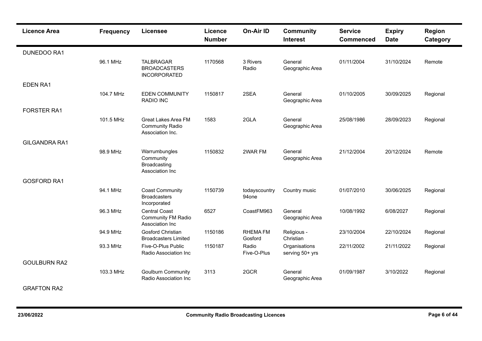| <b>Licence Area</b>  | <b>Frequency</b> | <b>Licensee</b>                                                      | Licence<br><b>Number</b> | <b>On-Air ID</b>           | <b>Community</b><br><b>Interest</b> | <b>Service</b><br><b>Commenced</b> | <b>Expiry</b><br><b>Date</b> | <b>Region</b><br>Category |
|----------------------|------------------|----------------------------------------------------------------------|--------------------------|----------------------------|-------------------------------------|------------------------------------|------------------------------|---------------------------|
| <b>DUNEDOO RA1</b>   |                  |                                                                      |                          |                            |                                     |                                    |                              |                           |
|                      | 96.1 MHz         | <b>TALBRAGAR</b><br><b>BROADCASTERS</b><br><b>INCORPORATED</b>       | 1170568                  | 3 Rivers<br>Radio          | General<br>Geographic Area          | 01/11/2004                         | 31/10/2024                   | Remote                    |
| <b>EDEN RA1</b>      |                  |                                                                      |                          |                            |                                     |                                    |                              |                           |
|                      | 104.7 MHz        | <b>EDEN COMMUNITY</b><br><b>RADIO INC</b>                            | 1150817                  | 2SEA                       | General<br>Geographic Area          | 01/10/2005                         | 30/09/2025                   | Regional                  |
| <b>FORSTER RA1</b>   |                  |                                                                      |                          |                            |                                     |                                    |                              |                           |
|                      | 101.5 MHz        | Great Lakes Area FM<br><b>Community Radio</b><br>Association Inc.    | 1583                     | 2GLA                       | General<br>Geographic Area          | 25/08/1986                         | 28/09/2023                   | Regional                  |
| <b>GILGANDRA RA1</b> |                  |                                                                      |                          |                            |                                     |                                    |                              |                           |
|                      | 98.9 MHz         | Warrumbungles<br>Community<br>Broadcasting<br>Association Inc        | 1150832                  | 2WAR FM                    | General<br>Geographic Area          | 21/12/2004                         | 20/12/2024                   | Remote                    |
| <b>GOSFORD RA1</b>   |                  |                                                                      |                          |                            |                                     |                                    |                              |                           |
|                      | 94.1 MHz         | <b>Coast Community</b><br><b>Broadcasters</b><br>Incorporated        | 1150739                  | todayscountry<br>94one     | Country music                       | 01/07/2010                         | 30/06/2025                   | Regional                  |
|                      | 96.3 MHz         | <b>Central Coast</b><br><b>Community FM Radio</b><br>Association Inc | 6527                     | CoastFM963                 | General<br>Geographic Area          | 10/08/1992                         | 6/08/2027                    | Regional                  |
|                      | 94.9 MHz         | <b>Gosford Christian</b><br>Broadcasters Limited                     | 1150186                  | <b>RHEMA FM</b><br>Gosford | Religious -<br>Christian            | 23/10/2004                         | 22/10/2024                   | Regional                  |
|                      | 93.3 MHz         | Five-O-Plus Public<br>Radio Association Inc                          | 1150187                  | Radio<br>Five-O-Plus       | Organisations<br>serving 50+ yrs    | 22/11/2002                         | 21/11/2022                   | Regional                  |
| <b>GOULBURN RA2</b>  |                  |                                                                      |                          |                            |                                     |                                    |                              |                           |
|                      | 103.3 MHz        | <b>Goulburn Community</b><br>Radio Association Inc                   | 3113                     | 2GCR                       | General<br>Geographic Area          | 01/09/1987                         | 3/10/2022                    | Regional                  |

## GRAFTON RA2

н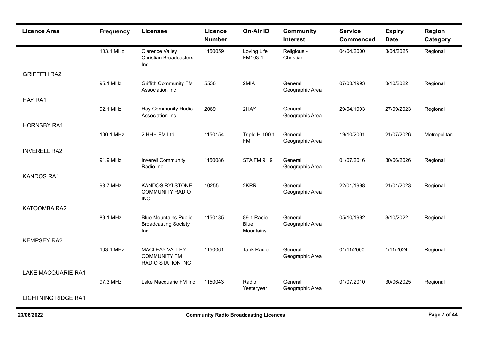| <b>Licence Area</b>        | <b>Frequency</b> | Licensee                                                           | Licence<br><b>Number</b> | <b>On-Air ID</b>                       | <b>Community</b><br><b>Interest</b> | <b>Service</b><br><b>Commenced</b> | <b>Expiry</b><br><b>Date</b> | Region<br>Category |
|----------------------------|------------------|--------------------------------------------------------------------|--------------------------|----------------------------------------|-------------------------------------|------------------------------------|------------------------------|--------------------|
|                            | 103.1 MHz        | <b>Clarence Valley</b><br><b>Christian Broadcasters</b><br>Inc     | 1150059                  | Loving Life<br>FM103.1                 | Religious -<br>Christian            | 04/04/2000                         | 3/04/2025                    | Regional           |
| <b>GRIFFITH RA2</b>        |                  |                                                                    |                          |                                        |                                     |                                    |                              |                    |
|                            | 95.1 MHz         | <b>Griffith Community FM</b><br>Association Inc                    | 5538                     | 2MIA                                   | General<br>Geographic Area          | 07/03/1993                         | 3/10/2022                    | Regional           |
| HAY RA1                    |                  |                                                                    |                          |                                        |                                     |                                    |                              |                    |
|                            | 92.1 MHz         | Hay Community Radio<br>Association Inc                             | 2069                     | 2HAY                                   | General<br>Geographic Area          | 29/04/1993                         | 27/09/2023                   | Regional           |
| <b>HORNSBY RA1</b>         |                  |                                                                    |                          |                                        |                                     |                                    |                              |                    |
|                            | 100.1 MHz        | 2 HHH FM Ltd                                                       | 1150154                  | <b>Triple H 100.1</b><br><b>FM</b>     | General<br>Geographic Area          | 19/10/2001                         | 21/07/2026                   | Metropolitan       |
| <b>INVERELL RA2</b>        |                  |                                                                    |                          |                                        |                                     |                                    |                              |                    |
|                            | 91.9 MHz         | <b>Inverell Community</b><br>Radio Inc                             | 1150086                  | <b>STA FM 91.9</b>                     | General<br>Geographic Area          | 01/07/2016                         | 30/06/2026                   | Regional           |
| <b>KANDOS RA1</b>          |                  |                                                                    |                          |                                        |                                     |                                    |                              |                    |
|                            | 98.7 MHz         | <b>KANDOS RYLSTONE</b><br><b>COMMUNITY RADIO</b><br><b>INC</b>     | 10255                    | 2KRR                                   | General<br>Geographic Area          | 22/01/1998                         | 21/01/2023                   | Regional           |
| KATOOMBA RA2               |                  |                                                                    |                          |                                        |                                     |                                    |                              |                    |
|                            | 89.1 MHz         | <b>Blue Mountains Public</b><br><b>Broadcasting Society</b><br>Inc | 1150185                  | 89.1 Radio<br><b>Blue</b><br>Mountains | General<br>Geographic Area          | 05/10/1992                         | 3/10/2022                    | Regional           |
| <b>KEMPSEY RA2</b>         |                  |                                                                    |                          |                                        |                                     |                                    |                              |                    |
|                            | 103.1 MHz        | MACLEAY VALLEY<br><b>COMMUNITY FM</b><br>RADIO STATION INC         | 1150061                  | <b>Tank Radio</b>                      | General<br>Geographic Area          | 01/11/2000                         | 1/11/2024                    | Regional           |
| <b>LAKE MACQUARIE RA1</b>  |                  |                                                                    |                          |                                        |                                     |                                    |                              |                    |
|                            | 97.3 MHz         | Lake Macquarie FM Inc                                              | 1150043                  | Radio<br>Yesteryear                    | General<br>Geographic Area          | 01/07/2010                         | 30/06/2025                   | Regional           |
| <b>LIGHTNING RIDGE RA1</b> |                  |                                                                    |                          |                                        |                                     |                                    |                              |                    |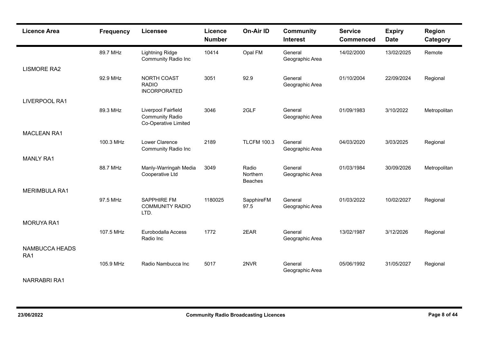| <b>Licence Area</b>   | Frequency | Licensee                                                              | <b>Licence</b><br><b>Number</b> | <b>On-Air ID</b>                    | <b>Community</b><br><b>Interest</b> | <b>Service</b><br><b>Commenced</b> | <b>Expiry</b><br><b>Date</b> | Region<br>Category |
|-----------------------|-----------|-----------------------------------------------------------------------|---------------------------------|-------------------------------------|-------------------------------------|------------------------------------|------------------------------|--------------------|
|                       | 89.7 MHz  | <b>Lightning Ridge</b><br><b>Community Radio Inc</b>                  | 10414                           | Opal FM                             | General<br>Geographic Area          | 14/02/2000                         | 13/02/2025                   | Remote             |
| <b>LISMORE RA2</b>    |           |                                                                       |                                 |                                     |                                     |                                    |                              |                    |
|                       | 92.9 MHz  | <b>NORTH COAST</b><br><b>RADIO</b><br><b>INCORPORATED</b>             | 3051                            | 92.9                                | General<br>Geographic Area          | 01/10/2004                         | 22/09/2024                   | Regional           |
| <b>LIVERPOOL RA1</b>  |           |                                                                       |                                 |                                     |                                     |                                    |                              |                    |
|                       | 89.3 MHz  | Liverpool Fairfield<br><b>Community Radio</b><br>Co-Operative Limited | 3046                            | 2GLF                                | General<br>Geographic Area          | 01/09/1983                         | 3/10/2022                    | Metropolitan       |
| <b>MACLEAN RA1</b>    |           |                                                                       |                                 |                                     |                                     |                                    |                              |                    |
|                       | 100.3 MHz | Lower Clarence<br><b>Community Radio Inc</b>                          | 2189                            | <b>TLCFM 100.3</b>                  | General<br>Geographic Area          | 04/03/2020                         | 3/03/2025                    | Regional           |
| <b>MANLY RA1</b>      |           |                                                                       |                                 |                                     |                                     |                                    |                              |                    |
|                       | 88.7 MHz  | Manly-Warringah Media<br>Cooperative Ltd                              | 3049                            | Radio<br>Northern<br><b>Beaches</b> | General<br>Geographic Area          | 01/03/1984                         | 30/09/2026                   | Metropolitan       |
| <b>MERIMBULA RA1</b>  |           |                                                                       |                                 |                                     |                                     |                                    |                              |                    |
|                       | 97.5 MHz  | <b>SAPPHIRE FM</b><br><b>COMMUNITY RADIO</b><br>LTD.                  | 1180025                         | SapphireFM<br>97.5                  | General<br>Geographic Area          | 01/03/2022                         | 10/02/2027                   | Regional           |
| <b>MORUYA RA1</b>     |           |                                                                       |                                 |                                     |                                     |                                    |                              |                    |
|                       | 107.5 MHz | Eurobodalla Access<br>Radio Inc                                       | 1772                            | 2EAR                                | General<br>Geographic Area          | 13/02/1987                         | 3/12/2026                    | Regional           |
| NAMBUCCA HEADS<br>RA1 |           |                                                                       |                                 |                                     |                                     |                                    |                              |                    |
| $\ldots$              | 105.9 MHz | Radio Nambucca Inc                                                    | 5017                            | 2NVR                                | General<br>Geographic Area          | 05/06/1992                         | 31/05/2027                   | Regional           |

NARRABRI RA1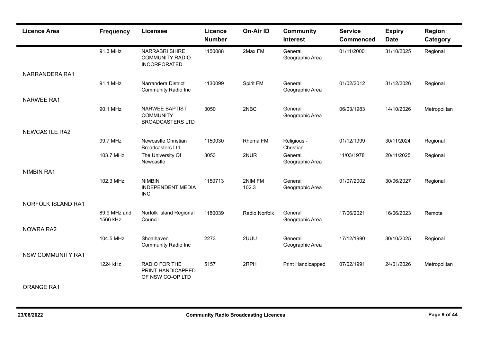| <b>Licence Area</b>       | <b>Frequency</b>         | <b>Licensee</b>                                                      | Licence<br><b>Number</b> | On-Air ID        | <b>Community</b><br><b>Interest</b> | <b>Service</b><br><b>Commenced</b> | <b>Expiry</b><br><b>Date</b> | <b>Region</b><br>Category |
|---------------------------|--------------------------|----------------------------------------------------------------------|--------------------------|------------------|-------------------------------------|------------------------------------|------------------------------|---------------------------|
|                           | 91.3 MHz                 | <b>NARRABRI SHIRE</b><br><b>COMMUNITY RADIO</b><br>INCORPORATED      | 1150088                  | 2Max FM          | General<br>Geographic Area          | 01/11/2000                         | 31/10/2025                   | Regional                  |
| NARRANDERA RA1            |                          |                                                                      |                          |                  |                                     |                                    |                              |                           |
|                           | 91.1 MHz                 | Narrandera District<br>Community Radio Inc                           | 1130099                  | Spirit FM        | General<br>Geographic Area          | 01/02/2012                         | 31/12/2026                   | Regional                  |
| <b>NARWEE RA1</b>         |                          |                                                                      |                          |                  |                                     |                                    |                              |                           |
|                           | 90.1 MHz                 | <b>NARWEE BAPTIST</b><br><b>COMMUNITY</b><br><b>BROADCASTERS LTD</b> | 3050                     | 2NBC             | General<br>Geographic Area          | 06/03/1983                         | 14/10/2026                   | Metropolitan              |
| <b>NEWCASTLE RA2</b>      |                          |                                                                      |                          |                  |                                     |                                    |                              |                           |
|                           | 99.7 MHz                 | Newcastle Christian<br><b>Broadcasters Ltd</b>                       | 1150030                  | Rhema FM         | Religious -<br>Christian            | 01/12/1999                         | 30/11/2024                   | Regional                  |
|                           | 103.7 MHz                | The University Of<br>Newcastle                                       | 3053                     | 2NUR             | General<br>Geographic Area          | 11/03/1978                         | 20/11/2025                   | Regional                  |
| <b>NIMBIN RA1</b>         |                          |                                                                      |                          |                  |                                     |                                    |                              |                           |
|                           | 102.3 MHz                | <b>NIMBIN</b><br><b>INDEPENDENT MEDIA</b><br><b>INC</b>              | 1150713                  | 2NIM FM<br>102.3 | General<br>Geographic Area          | 01/07/2002                         | 30/06/2027                   | Regional                  |
| <b>NORFOLK ISLAND RA1</b> |                          |                                                                      |                          |                  |                                     |                                    |                              |                           |
|                           | 89.9 MHz and<br>1566 kHz | Norfolk Island Regional<br>Council                                   | 1180039                  | Radio Norfolk    | General<br>Geographic Area          | 17/06/2021                         | 16/06/2023                   | Remote                    |
| <b>NOWRA RA2</b>          |                          |                                                                      |                          |                  |                                     |                                    |                              |                           |
|                           | 104.5 MHz                | Shoalhaven<br><b>Community Radio Inc</b>                             | 2273                     | 2UUU             | General<br>Geographic Area          | 17/12/1990                         | 30/10/2025                   | Regional                  |
| <b>NSW COMMUNITY RA1</b>  |                          |                                                                      |                          |                  |                                     |                                    |                              |                           |
|                           | 1224 kHz                 | RADIO FOR THE<br>PRINT-HANDICAPPED<br>OF NSW CO-OP LTD               | 5157                     | 2RPH             | Print Handicapped                   | 07/02/1991                         | 24/01/2026                   | Metropolitan              |

## ORANGE RA1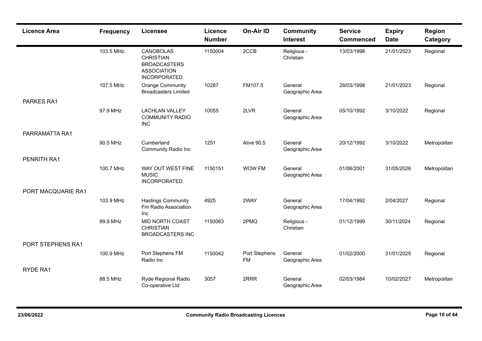| <b>Licence Area</b> | <b>Frequency</b> | <b>Licensee</b>                                                                                          | <b>Licence</b><br><b>Number</b> | On-Air ID           | <b>Community</b><br><b>Interest</b> | <b>Service</b><br><b>Commenced</b> | <b>Expiry</b><br><b>Date</b> | <b>Region</b><br>Category |
|---------------------|------------------|----------------------------------------------------------------------------------------------------------|---------------------------------|---------------------|-------------------------------------|------------------------------------|------------------------------|---------------------------|
|                     | 103.5 MHz        | <b>CANOBOLAS</b><br><b>CHRISTIAN</b><br><b>BROADCASTERS</b><br><b>ASSOCIATION</b><br><b>INCORPORATED</b> | 1150004                         | 2CCB                | Religious -<br>Christian            | 13/03/1998                         | 21/01/2023                   | Regional                  |
|                     | 107.5 MHz        | <b>Orange Community</b><br><b>Broadcasters Limited</b>                                                   | 10287                           | FM107.5             | General<br>Geographic Area          | 28/03/1998                         | 21/01/2023                   | Regional                  |
| PARKES RA1          |                  |                                                                                                          |                                 |                     |                                     |                                    |                              |                           |
|                     | 97.9 MHz         | <b>LACHLAN VALLEY</b><br><b>COMMUNITY RADIO</b><br><b>INC</b>                                            | 10055                           | 2LVR                | General<br>Geographic Area          | 05/10/1992                         | 3/10/2022                    | Regional                  |
| PARRAMATTA RA1      |                  |                                                                                                          |                                 |                     |                                     |                                    |                              |                           |
|                     | 90.5 MHz         | Cumberland<br><b>Community Radio Inc</b>                                                                 | 1251                            | <b>Alive 90.5</b>   | General<br>Geographic Area          | 20/12/1992                         | 3/10/2022                    | Metropolitan              |
| PENRITH RA1         |                  |                                                                                                          |                                 |                     |                                     |                                    |                              |                           |
|                     | 100.7 MHz        | WAY OUT WEST FINE<br><b>MUSIC</b><br>INCORPORATED                                                        | 1150151                         | WOW FM              | General<br>Geographic Area          | 01/06/2001                         | 31/05/2026                   | Metropolitan              |
| PORT MACQUARIE RA1  |                  |                                                                                                          |                                 |                     |                                     |                                    |                              |                           |
|                     | 103.9 MHz        | <b>Hastings Community</b><br>Fm Radio Association<br>Inc                                                 | 4925                            | 2WAY                | General<br>Geographic Area          | 17/04/1992                         | 2/04/2027                    | Regional                  |
|                     | 99.9 MHz         | MID NORTH COAST<br><b>CHRISTIAN</b><br><b>BROADCASTERS INC</b>                                           | 1150063                         | 2PMQ                | Religious -<br>Christian            | 01/12/1999                         | 30/11/2024                   | Regional                  |
| PORT STEPHENS RA1   |                  |                                                                                                          |                                 |                     |                                     |                                    |                              |                           |
|                     | 100.9 MHz        | Port Stephens FM<br>Radio Inc                                                                            | 1150042                         | Port Stephens<br>FM | General<br>Geographic Area          | 01/02/2000                         | 31/01/2025                   | Regional                  |
| RYDE RA1            |                  |                                                                                                          |                                 |                     |                                     |                                    |                              |                           |
|                     | 88.5 MHz         | Ryde Regional Radio<br>Co-operative Ltd                                                                  | 3057                            | 2RRR                | General<br>Geographic Area          | 02/03/1984                         | 10/02/2027                   | Metropolitan              |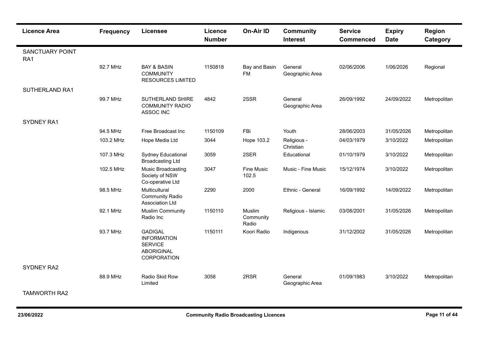| <b>Licence Area</b>           | <b>Frequency</b> | <b>Licensee</b>                                                                            | Licence<br><b>Number</b> | On-Air ID                    | <b>Community</b><br><b>Interest</b> | <b>Service</b><br><b>Commenced</b> | <b>Expiry</b><br><b>Date</b> | Region<br>Category |
|-------------------------------|------------------|--------------------------------------------------------------------------------------------|--------------------------|------------------------------|-------------------------------------|------------------------------------|------------------------------|--------------------|
| <b>SANCTUARY POINT</b><br>RA1 |                  |                                                                                            |                          |                              |                                     |                                    |                              |                    |
|                               | 92.7 MHz         | <b>BAY &amp; BASIN</b><br><b>COMMUNITY</b><br><b>RESOURCES LIMITED</b>                     | 1150818                  | Bay and Basin<br><b>FM</b>   | General<br>Geographic Area          | 02/06/2006                         | 1/06/2026                    | Regional           |
| <b>SUTHERLAND RA1</b>         |                  |                                                                                            |                          |                              |                                     |                                    |                              |                    |
|                               | 99.7 MHz         | SUTHERLAND SHIRE<br><b>COMMUNITY RADIO</b><br>ASSOC INC                                    | 4842                     | 2SSR                         | General<br>Geographic Area          | 26/09/1992                         | 24/09/2022                   | Metropolitan       |
| <b>SYDNEY RA1</b>             |                  |                                                                                            |                          |                              |                                     |                                    |                              |                    |
|                               | 94.5 MHz         | Free Broadcast Inc                                                                         | 1150109                  | FBi                          | Youth                               | 28/06/2003                         | 31/05/2026                   | Metropolitan       |
|                               | 103.2 MHz        | Hope Media Ltd                                                                             | 3044                     | Hope 103.2                   | Religious -<br>Christian            | 04/03/1979                         | 3/10/2022                    | Metropolitan       |
|                               | 107.3 MHz        | Sydney Educational<br><b>Broadcasting Ltd</b>                                              | 3059                     | 2SER                         | Educational                         | 01/10/1979                         | 3/10/2022                    | Metropolitan       |
|                               | 102.5 MHz        | Music Broadcasting<br>Society of NSW<br>Co-operative Ltd                                   | 3047                     | <b>Fine Music</b><br>102.5   | Music - Fine Music                  | 15/12/1974                         | 3/10/2022                    | Metropolitan       |
|                               | 98.5 MHz         | Multicultural<br><b>Community Radio</b><br>Association Ltd                                 | 2290                     | 2000                         | Ethnic - General                    | 16/09/1992                         | 14/09/2022                   | Metropolitan       |
|                               | 92.1 MHz         | <b>Muslim Community</b><br>Radio Inc                                                       | 1150110                  | Muslim<br>Community<br>Radio | Religious - Islamic                 | 03/08/2001                         | 31/05/2026                   | Metropolitan       |
|                               | 93.7 MHz         | <b>GADIGAL</b><br><b>INFORMATION</b><br><b>SERVICE</b><br><b>ABORIGINAL</b><br>CORPORATION | 1150111                  | Koori Radio                  | Indigenous                          | 31/12/2002                         | 31/05/2026                   | Metropolitan       |
| SYDNEY RA2                    |                  |                                                                                            |                          |                              |                                     |                                    |                              |                    |
|                               | 88.9 MHz         | Radio Skid Row<br>Limited                                                                  | 3058                     | 2RSR                         | General<br>Geographic Area          | 01/09/1983                         | 3/10/2022                    | Metropolitan       |
| <b>TAMWORTH RA2</b>           |                  |                                                                                            |                          |                              |                                     |                                    |                              |                    |

н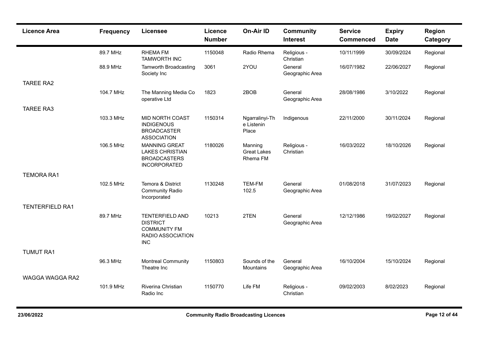| <b>Licence Area</b>    | <b>Frequency</b> | <b>Licensee</b>                                                                                     | Licence<br><b>Number</b> | <b>On-Air ID</b>                          | <b>Community</b><br><b>Interest</b> | <b>Service</b><br><b>Commenced</b> | <b>Expiry</b><br><b>Date</b> | Region<br>Category |
|------------------------|------------------|-----------------------------------------------------------------------------------------------------|--------------------------|-------------------------------------------|-------------------------------------|------------------------------------|------------------------------|--------------------|
|                        | 89.7 MHz         | <b>RHEMA FM</b><br><b>TAMWORTH INC</b>                                                              | 1150048                  | Radio Rhema                               | Religious -<br>Christian            | 10/11/1999                         | 30/09/2024                   | Regional           |
|                        | 88.9 MHz         | Tamworth Broadcasting<br>Society Inc                                                                | 3061                     | 2YOU                                      | General<br>Geographic Area          | 16/07/1982                         | 22/06/2027                   | Regional           |
| <b>TAREE RA2</b>       |                  |                                                                                                     |                          |                                           |                                     |                                    |                              |                    |
|                        | 104.7 MHz        | The Manning Media Co<br>operative Ltd                                                               | 1823                     | 2BOB                                      | General<br>Geographic Area          | 28/08/1986                         | 3/10/2022                    | Regional           |
| <b>TAREE RA3</b>       |                  |                                                                                                     |                          |                                           |                                     |                                    |                              |                    |
|                        | 103.3 MHz        | <b>MID NORTH COAST</b><br><b>INDIGENOUS</b><br><b>BROADCASTER</b><br><b>ASSOCIATION</b>             | 1150314                  | Ngarralinyi-Th<br>e Listenin<br>Place     | Indigenous                          | 22/11/2000                         | 30/11/2024                   | Regional           |
|                        | 106.5 MHz        | <b>MANNING GREAT</b><br><b>LAKES CHRISTIAN</b><br><b>BROADCASTERS</b><br><b>INCORPORATED</b>        | 1180026                  | Manning<br><b>Great Lakes</b><br>Rhema FM | Religious -<br>Christian            | 16/03/2022                         | 18/10/2026                   | Regional           |
| <b>TEMORA RA1</b>      |                  |                                                                                                     |                          |                                           |                                     |                                    |                              |                    |
|                        | 102.5 MHz        | Temora & District<br><b>Community Radio</b><br>Incorporated                                         | 1130248                  | <b>TEM-FM</b><br>102.5                    | General<br>Geographic Area          | 01/08/2018                         | 31/07/2023                   | Regional           |
| <b>TENTERFIELD RA1</b> |                  |                                                                                                     |                          |                                           |                                     |                                    |                              |                    |
|                        | 89.7 MHz         | <b>TENTERFIELD AND</b><br><b>DISTRICT</b><br><b>COMMUNITY FM</b><br>RADIO ASSOCIATION<br><b>INC</b> | 10213                    | 2TEN                                      | General<br>Geographic Area          | 12/12/1986                         | 19/02/2027                   | Regional           |
| <b>TUMUT RA1</b>       |                  |                                                                                                     |                          |                                           |                                     |                                    |                              |                    |
|                        | 96.3 MHz         | <b>Montreal Community</b><br>Theatre Inc                                                            | 1150803                  | Sounds of the<br>Mountains                | General<br>Geographic Area          | 16/10/2004                         | 15/10/2024                   | Regional           |
| WAGGA WAGGA RA2        |                  |                                                                                                     |                          |                                           |                                     |                                    |                              |                    |
|                        | 101.9 MHz        | Riverina Christian<br>Radio Inc                                                                     | 1150770                  | Life FM                                   | Religious -<br>Christian            | 09/02/2003                         | 8/02/2023                    | Regional           |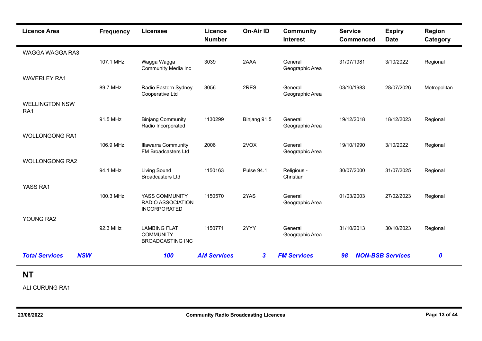| <b>Licence Area</b>                 | <b>Frequency</b> | <b>Licensee</b>                                                    | Licence<br><b>Number</b> | <b>On-Air ID</b>  | <b>Community</b><br><b>Interest</b> | <b>Service</b><br><b>Commenced</b> | <b>Expiry</b><br><b>Date</b> | Region<br>Category |
|-------------------------------------|------------------|--------------------------------------------------------------------|--------------------------|-------------------|-------------------------------------|------------------------------------|------------------------------|--------------------|
| WAGGA WAGGA RA3                     |                  |                                                                    |                          |                   |                                     |                                    |                              |                    |
|                                     | 107.1 MHz        | Wagga Wagga<br><b>Community Media Inc</b>                          | 3039                     | 2AAA              | General<br>Geographic Area          | 31/07/1981                         | 3/10/2022                    | Regional           |
| <b>WAVERLEY RA1</b>                 |                  |                                                                    |                          |                   |                                     |                                    |                              |                    |
|                                     | 89.7 MHz         | Radio Eastern Sydney<br>Cooperative Ltd                            | 3056                     | 2RES              | General<br>Geographic Area          | 03/10/1983                         | 28/07/2026                   | Metropolitan       |
| <b>WELLINGTON NSW</b><br>RA1        |                  |                                                                    |                          |                   |                                     |                                    |                              |                    |
|                                     | 91.5 MHz         | <b>Binjang Community</b><br>Radio Incorporated                     | 1130299                  | Binjang 91.5      | General<br>Geographic Area          | 19/12/2018                         | 18/12/2023                   | Regional           |
| <b>WOLLONGONG RA1</b>               |                  |                                                                    |                          |                   |                                     |                                    |                              |                    |
|                                     | 106.9 MHz        | <b>Illawarra Community</b><br>FM Broadcasters Ltd                  | 2006                     | 2VOX              | General<br>Geographic Area          | 19/10/1990                         | 3/10/2022                    | Regional           |
| <b>WOLLONGONG RA2</b>               |                  |                                                                    |                          |                   |                                     |                                    |                              |                    |
|                                     | 94.1 MHz         | <b>Living Sound</b><br><b>Broadcasters Ltd</b>                     | 1150163                  | <b>Pulse 94.1</b> | Religious -<br>Christian            | 30/07/2000                         | 31/07/2025                   | Regional           |
| YASS RA1                            |                  |                                                                    |                          |                   |                                     |                                    |                              |                    |
|                                     | 100.3 MHz        | YASS COMMUNITY<br>RADIO ASSOCIATION<br><b>INCORPORATED</b>         | 1150570                  | 2YAS              | General<br>Geographic Area          | 01/03/2003                         | 27/02/2023                   | Regional           |
| YOUNG RA2                           |                  |                                                                    |                          |                   |                                     |                                    |                              |                    |
|                                     | 92.3 MHz         | <b>LAMBING FLAT</b><br><b>COMMUNITY</b><br><b>BROADCASTING INC</b> | 1150771                  | 2YYY              | General<br>Geographic Area          | 31/10/2013                         | 30/10/2023                   | Regional           |
| <b>Total Services</b><br><b>NSW</b> |                  | 100                                                                | <b>AM Services</b>       | $\boldsymbol{3}$  | <b>FM Services</b>                  | 98                                 | <b>NON-BSB Services</b>      | $\boldsymbol{0}$   |

## **NT**

ALI CURUNG RA1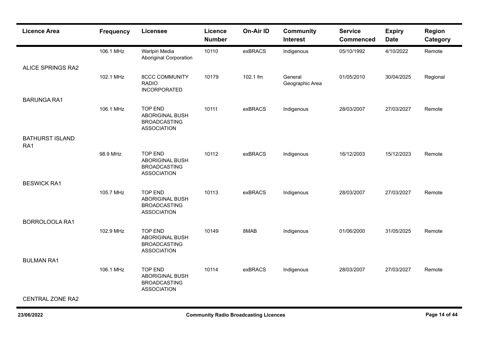| <b>Licence Area</b>           | <b>Frequency</b> | <b>Licensee</b>                                                                       | <b>Licence</b><br><b>Number</b> | On-Air ID | <b>Community</b><br><b>Interest</b> | <b>Service</b><br><b>Commenced</b> | <b>Expiry</b><br><b>Date</b> | <b>Region</b><br>Category |
|-------------------------------|------------------|---------------------------------------------------------------------------------------|---------------------------------|-----------|-------------------------------------|------------------------------------|------------------------------|---------------------------|
|                               | 106.1 MHz        | Warlpiri Media<br><b>Aboriginal Corporation</b>                                       | 10110                           | exBRACS   | Indigenous                          | 05/10/1992                         | 4/10/2022                    | Remote                    |
| <b>ALICE SPRINGS RA2</b>      |                  |                                                                                       |                                 |           |                                     |                                    |                              |                           |
|                               | 102.1 MHz        | <b>8CCC COMMUNITY</b><br><b>RADIO</b><br><b>INCORPORATED</b>                          | 10179                           | 102.1 fm  | General<br>Geographic Area          | 01/05/2010                         | 30/04/2025                   | Regional                  |
| <b>BARUNGA RA1</b>            |                  |                                                                                       |                                 |           |                                     |                                    |                              |                           |
|                               | 106.1 MHz        | <b>TOP END</b><br><b>ABORIGINAL BUSH</b><br><b>BROADCASTING</b><br><b>ASSOCIATION</b> | 10111                           | exBRACS   | Indigenous                          | 28/03/2007                         | 27/03/2027                   | Remote                    |
| <b>BATHURST ISLAND</b><br>RA1 |                  |                                                                                       |                                 |           |                                     |                                    |                              |                           |
|                               | 98.9 MHz         | <b>TOP END</b><br><b>ABORIGINAL BUSH</b><br><b>BROADCASTING</b><br><b>ASSOCIATION</b> | 10112                           | exBRACS   | Indigenous                          | 16/12/2003                         | 15/12/2023                   | Remote                    |
| <b>BESWICK RA1</b>            |                  |                                                                                       |                                 |           |                                     |                                    |                              |                           |
|                               | 105.7 MHz        | <b>TOP END</b><br><b>ABORIGINAL BUSH</b><br><b>BROADCASTING</b><br><b>ASSOCIATION</b> | 10113                           | exBRACS   | Indigenous                          | 28/03/2007                         | 27/03/2027                   | Remote                    |
| <b>BORROLOOLA RA1</b>         |                  |                                                                                       |                                 |           |                                     |                                    |                              |                           |
|                               | 102.9 MHz        | <b>TOP END</b><br><b>ABORIGINAL BUSH</b><br><b>BROADCASTING</b><br><b>ASSOCIATION</b> | 10149                           | 8MAB      | Indigenous                          | 01/06/2000                         | 31/05/2025                   | Remote                    |
| <b>BULMAN RA1</b>             |                  |                                                                                       |                                 |           |                                     |                                    |                              |                           |
|                               | 106.1 MHz        | <b>TOP END</b><br>ABORIGINAL BUSH<br><b>BROADCASTING</b><br><b>ASSOCIATION</b>        | 10114                           | exBRACS   | Indigenous                          | 28/03/2007                         | 27/03/2027                   | Remote                    |
| <b>CENTRAL ZONE RA2</b>       |                  |                                                                                       |                                 |           |                                     |                                    |                              |                           |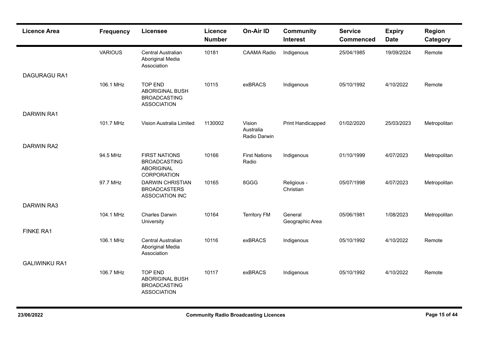| <b>Licence Area</b>  | <b>Frequency</b> | <b>Licensee</b>                                                                        | Licence<br><b>Number</b> | On-Air ID                           | <b>Community</b><br><b>Interest</b> | <b>Service</b><br><b>Commenced</b> | <b>Expiry</b><br><b>Date</b> | Region<br>Category |
|----------------------|------------------|----------------------------------------------------------------------------------------|--------------------------|-------------------------------------|-------------------------------------|------------------------------------|------------------------------|--------------------|
|                      | <b>VARIOUS</b>   | Central Australian<br>Aboriginal Media<br>Association                                  | 10181                    | <b>CAAMA Radio</b>                  | Indigenous                          | 25/04/1985                         | 19/09/2024                   | Remote             |
| <b>DAGURAGU RA1</b>  | 106.1 MHz        | <b>TOP END</b><br><b>ABORIGINAL BUSH</b><br><b>BROADCASTING</b><br><b>ASSOCIATION</b>  | 10115                    | exBRACS                             | Indigenous                          | 05/10/1992                         | 4/10/2022                    | Remote             |
| <b>DARWIN RA1</b>    |                  |                                                                                        |                          |                                     |                                     |                                    |                              |                    |
|                      | 101.7 MHz        | Vision Australia Limited                                                               | 1130002                  | Vision<br>Australia<br>Radio Darwin | Print Handicapped                   | 01/02/2020                         | 25/03/2023                   | Metropolitan       |
| <b>DARWIN RA2</b>    |                  |                                                                                        |                          |                                     |                                     |                                    |                              |                    |
|                      | 94.5 MHz         | <b>FIRST NATIONS</b><br><b>BROADCASTING</b><br><b>ABORIGINAL</b><br><b>CORPORATION</b> | 10166                    | <b>First Nations</b><br>Radio       | Indigenous                          | 01/10/1999                         | 4/07/2023                    | Metropolitan       |
|                      | 97.7 MHz         | <b>DARWIN CHRISTIAN</b><br><b>BROADCASTERS</b><br>ASSOCIATION INC                      | 10165                    | 8GGG                                | Religious -<br>Christian            | 05/07/1998                         | 4/07/2023                    | Metropolitan       |
| <b>DARWIN RA3</b>    |                  |                                                                                        |                          |                                     |                                     |                                    |                              |                    |
|                      | 104.1 MHz        | <b>Charles Darwin</b><br>University                                                    | 10164                    | <b>Territory FM</b>                 | General<br>Geographic Area          | 05/06/1981                         | 1/08/2023                    | Metropolitan       |
| <b>FINKE RA1</b>     |                  |                                                                                        |                          |                                     |                                     |                                    |                              |                    |
|                      | 106.1 MHz        | Central Australian<br>Aboriginal Media<br>Association                                  | 10116                    | exBRACS                             | Indigenous                          | 05/10/1992                         | 4/10/2022                    | Remote             |
| <b>GALIWINKU RA1</b> |                  |                                                                                        |                          |                                     |                                     |                                    |                              |                    |
|                      | 106.7 MHz        | <b>TOP END</b><br><b>ABORIGINAL BUSH</b><br><b>BROADCASTING</b><br><b>ASSOCIATION</b>  | 10117                    | exBRACS                             | Indigenous                          | 05/10/1992                         | 4/10/2022                    | Remote             |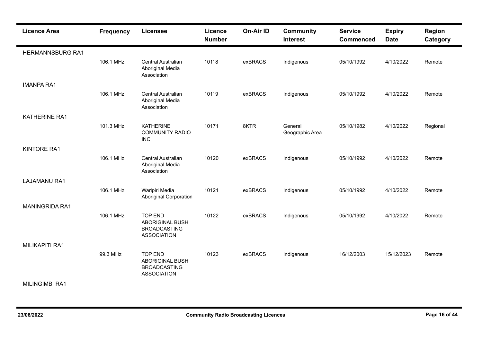| <b>Licence Area</b>     | <b>Frequency</b> | <b>Licensee</b>                                                                       | Licence<br><b>Number</b> | <b>On-Air ID</b> | <b>Community</b><br><b>Interest</b> | <b>Service</b><br><b>Commenced</b> | <b>Expiry</b><br><b>Date</b> | <b>Region</b><br>Category |
|-------------------------|------------------|---------------------------------------------------------------------------------------|--------------------------|------------------|-------------------------------------|------------------------------------|------------------------------|---------------------------|
| <b>HERMANNSBURG RA1</b> |                  |                                                                                       |                          |                  |                                     |                                    |                              |                           |
|                         | 106.1 MHz        | <b>Central Australian</b><br>Aboriginal Media<br>Association                          | 10118                    | exBRACS          | Indigenous                          | 05/10/1992                         | 4/10/2022                    | Remote                    |
| <b>IMANPA RA1</b>       |                  |                                                                                       |                          |                  |                                     |                                    |                              |                           |
|                         | 106.1 MHz        | Central Australian<br>Aboriginal Media<br>Association                                 | 10119                    | exBRACS          | Indigenous                          | 05/10/1992                         | 4/10/2022                    | Remote                    |
| <b>KATHERINE RA1</b>    |                  |                                                                                       |                          |                  |                                     |                                    |                              |                           |
|                         | 101.3 MHz        | <b>KATHERINE</b><br><b>COMMUNITY RADIO</b><br><b>INC</b>                              | 10171                    | 8KTR             | General<br>Geographic Area          | 05/10/1982                         | 4/10/2022                    | Regional                  |
| <b>KINTORE RA1</b>      |                  |                                                                                       |                          |                  |                                     |                                    |                              |                           |
|                         | 106.1 MHz        | Central Australian<br>Aboriginal Media<br>Association                                 | 10120                    | exBRACS          | Indigenous                          | 05/10/1992                         | 4/10/2022                    | Remote                    |
| <b>LAJAMANU RA1</b>     |                  |                                                                                       |                          |                  |                                     |                                    |                              |                           |
|                         | 106.1 MHz        | Warlpiri Media<br><b>Aboriginal Corporation</b>                                       | 10121                    | exBRACS          | Indigenous                          | 05/10/1992                         | 4/10/2022                    | Remote                    |
| MANINGRIDA RA1          |                  |                                                                                       |                          |                  |                                     |                                    |                              |                           |
|                         | 106.1 MHz        | <b>TOP END</b><br><b>ABORIGINAL BUSH</b><br><b>BROADCASTING</b><br><b>ASSOCIATION</b> | 10122                    | exBRACS          | Indigenous                          | 05/10/1992                         | 4/10/2022                    | Remote                    |
| <b>MILIKAPITI RA1</b>   |                  |                                                                                       |                          |                  |                                     |                                    |                              |                           |
|                         | 99.3 MHz         | <b>TOP END</b><br><b>ABORIGINAL BUSH</b><br><b>BROADCASTING</b><br><b>ASSOCIATION</b> | 10123                    | exBRACS          | Indigenous                          | 16/12/2003                         | 15/12/2023                   | Remote                    |
| <b>MILINGIMBI RA1</b>   |                  |                                                                                       |                          |                  |                                     |                                    |                              |                           |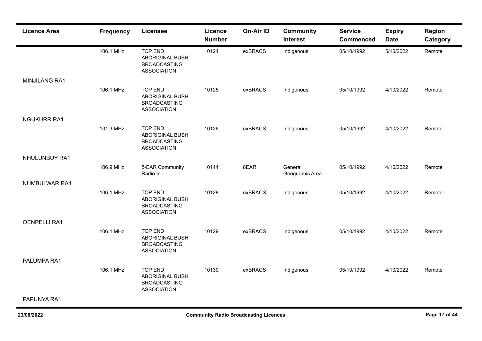| <b>Licence Area</b>  | <b>Frequency</b> | <b>Licensee</b>                                                                       | <b>Licence</b><br><b>Number</b> | On-Air ID | <b>Community</b><br><b>Interest</b> | <b>Service</b><br><b>Commenced</b> | <b>Expiry</b><br><b>Date</b> | <b>Region</b><br>Category |
|----------------------|------------------|---------------------------------------------------------------------------------------|---------------------------------|-----------|-------------------------------------|------------------------------------|------------------------------|---------------------------|
|                      | 106.1 MHz        | <b>TOP END</b><br><b>ABORIGINAL BUSH</b><br><b>BROADCASTING</b><br><b>ASSOCIATION</b> | 10124                           | exBRACS   | Indigenous                          | 05/10/1992                         | 5/10/2022                    | Remote                    |
| <b>MINJILANG RA1</b> |                  |                                                                                       |                                 |           |                                     |                                    |                              |                           |
|                      | 106.1 MHz        | <b>TOP END</b><br><b>ABORIGINAL BUSH</b><br><b>BROADCASTING</b><br><b>ASSOCIATION</b> | 10125                           | exBRACS   | Indigenous                          | 05/10/1992                         | 4/10/2022                    | Remote                    |
| <b>NGUKURR RA1</b>   |                  |                                                                                       |                                 |           |                                     |                                    |                              |                           |
|                      | 101.3 MHz        | <b>TOP END</b><br><b>ABORIGINAL BUSH</b><br><b>BROADCASTING</b><br><b>ASSOCIATION</b> | 10126                           | exBRACS   | Indigenous                          | 05/10/1992                         | 4/10/2022                    | Remote                    |
| NHULUNBUY RA1        |                  |                                                                                       |                                 |           |                                     |                                    |                              |                           |
|                      | 106.9 MHz        | 8-EAR Community<br>Radio Inc                                                          | 10144                           | 8EAR      | General<br>Geographic Area          | 05/10/1992                         | 4/10/2022                    | Remote                    |
| <b>NUMBULWAR RA1</b> |                  |                                                                                       |                                 |           |                                     |                                    |                              |                           |
|                      | 106.1 MHz        | <b>TOP END</b><br><b>ABORIGINAL BUSH</b><br><b>BROADCASTING</b><br><b>ASSOCIATION</b> | 10128                           | exBRACS   | Indigenous                          | 05/10/1992                         | 4/10/2022                    | Remote                    |
| <b>OENPELLI RA1</b>  |                  |                                                                                       |                                 |           |                                     |                                    |                              |                           |
|                      | 106.1 MHz        | <b>TOP END</b><br><b>ABORIGINAL BUSH</b><br><b>BROADCASTING</b><br><b>ASSOCIATION</b> | 10129                           | exBRACS   | Indigenous                          | 05/10/1992                         | 4/10/2022                    | Remote                    |
| PALUMPA RA1          |                  |                                                                                       |                                 |           |                                     |                                    |                              |                           |
|                      | 106.1 MHz        | <b>TOP END</b><br>ABORIGINAL BUSH<br><b>BROADCASTING</b><br><b>ASSOCIATION</b>        | 10130                           | exBRACS   | Indigenous                          | 05/10/1992                         | 4/10/2022                    | Remote                    |
| PAPUNYA RA1          |                  |                                                                                       |                                 |           |                                     |                                    |                              |                           |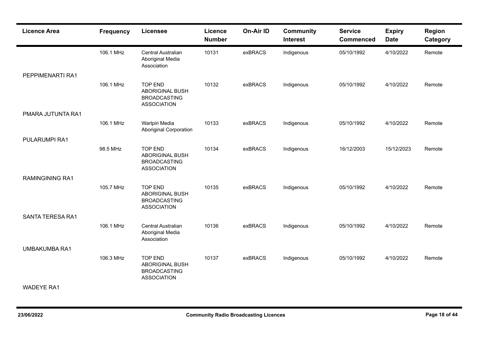| <b>Licence Area</b>     | <b>Frequency</b> | <b>Licensee</b>                                                                       | <b>Licence</b><br><b>Number</b> | On-Air ID | <b>Community</b><br><b>Interest</b> | <b>Service</b><br><b>Commenced</b> | <b>Expiry</b><br><b>Date</b> | <b>Region</b><br>Category |
|-------------------------|------------------|---------------------------------------------------------------------------------------|---------------------------------|-----------|-------------------------------------|------------------------------------|------------------------------|---------------------------|
|                         | 106.1 MHz        | Central Australian<br>Aboriginal Media<br>Association                                 | 10131                           | exBRACS   | Indigenous                          | 05/10/1992                         | 4/10/2022                    | Remote                    |
| PEPPIMENARTI RA1        |                  |                                                                                       |                                 |           |                                     |                                    |                              |                           |
|                         | 106.1 MHz        | <b>TOP END</b><br><b>ABORIGINAL BUSH</b><br><b>BROADCASTING</b><br><b>ASSOCIATION</b> | 10132                           | exBRACS   | Indigenous                          | 05/10/1992                         | 4/10/2022                    | Remote                    |
| PMARA JUTUNTA RA1       |                  |                                                                                       |                                 |           |                                     |                                    |                              |                           |
|                         | 106.1 MHz        | Warlpiri Media<br><b>Aboriginal Corporation</b>                                       | 10133                           | exBRACS   | Indigenous                          | 05/10/1992                         | 4/10/2022                    | Remote                    |
| PULARUMPI RA1           |                  |                                                                                       |                                 |           |                                     |                                    |                              |                           |
|                         | 98.5 MHz         | <b>TOP END</b><br><b>ABORIGINAL BUSH</b><br><b>BROADCASTING</b><br><b>ASSOCIATION</b> | 10134                           | exBRACS   | Indigenous                          | 16/12/2003                         | 15/12/2023                   | Remote                    |
| <b>RAMINGINING RA1</b>  |                  |                                                                                       |                                 |           |                                     |                                    |                              |                           |
|                         | 105.7 MHz        | <b>TOP END</b><br><b>ABORIGINAL BUSH</b><br><b>BROADCASTING</b><br><b>ASSOCIATION</b> | 10135                           | exBRACS   | Indigenous                          | 05/10/1992                         | 4/10/2022                    | Remote                    |
| <b>SANTA TERESA RA1</b> |                  |                                                                                       |                                 |           |                                     |                                    |                              |                           |
|                         | 106.1 MHz        | Central Australian<br>Aboriginal Media<br>Association                                 | 10136                           | exBRACS   | Indigenous                          | 05/10/1992                         | 4/10/2022                    | Remote                    |
| <b>UMBAKUMBA RA1</b>    |                  |                                                                                       |                                 |           |                                     |                                    |                              |                           |
|                         | 106.3 MHz        | <b>TOP END</b><br><b>ABORIGINAL BUSH</b><br><b>BROADCASTING</b><br><b>ASSOCIATION</b> | 10137                           | exBRACS   | Indigenous                          | 05/10/1992                         | 4/10/2022                    | Remote                    |
| <b>WADEYE RA1</b>       |                  |                                                                                       |                                 |           |                                     |                                    |                              |                           |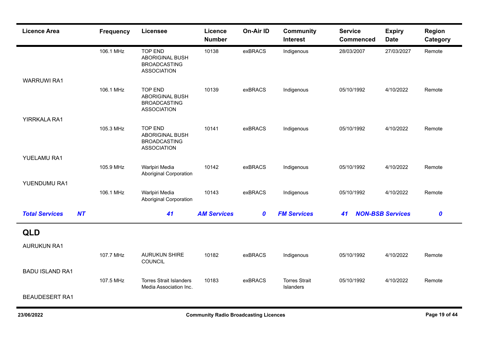| <b>Licence Area</b>         | <b>Frequency</b> | <b>Licensee</b>                                                                       | <b>Licence</b><br><b>Number</b> | On-Air ID        | <b>Community</b><br><b>Interest</b> | <b>Service</b><br><b>Commenced</b> | <b>Expiry</b><br><b>Date</b> | Region<br>Category |
|-----------------------------|------------------|---------------------------------------------------------------------------------------|---------------------------------|------------------|-------------------------------------|------------------------------------|------------------------------|--------------------|
|                             | 106.1 MHz        | <b>TOP END</b><br><b>ABORIGINAL BUSH</b><br><b>BROADCASTING</b><br><b>ASSOCIATION</b> | 10138                           | exBRACS          | Indigenous                          | 28/03/2007                         | 27/03/2027                   | Remote             |
| <b>WARRUWI RA1</b>          |                  |                                                                                       |                                 |                  |                                     |                                    |                              |                    |
|                             | 106.1 MHz        | <b>TOP END</b><br><b>ABORIGINAL BUSH</b><br><b>BROADCASTING</b><br><b>ASSOCIATION</b> | 10139                           | exBRACS          | Indigenous                          | 05/10/1992                         | 4/10/2022                    | Remote             |
| YIRRKALA RA1                |                  |                                                                                       |                                 |                  |                                     |                                    |                              |                    |
|                             | 105.3 MHz        | <b>TOP END</b><br><b>ABORIGINAL BUSH</b><br><b>BROADCASTING</b><br><b>ASSOCIATION</b> | 10141                           | exBRACS          | Indigenous                          | 05/10/1992                         | 4/10/2022                    | Remote             |
| YUELAMU RA1                 |                  |                                                                                       |                                 |                  |                                     |                                    |                              |                    |
|                             | 105.9 MHz        | Warlpiri Media<br><b>Aboriginal Corporation</b>                                       | 10142                           | exBRACS          | Indigenous                          | 05/10/1992                         | 4/10/2022                    | Remote             |
| YUENDUMU RA1                |                  |                                                                                       |                                 |                  |                                     |                                    |                              |                    |
|                             | 106.1 MHz        | Warlpiri Media<br><b>Aboriginal Corporation</b>                                       | 10143                           | exBRACS          | Indigenous                          | 05/10/1992                         | 4/10/2022                    | Remote             |
| <b>Total Services</b><br>NT |                  | 41                                                                                    | <b>AM Services</b>              | $\boldsymbol{0}$ | <b>FM Services</b>                  | 41                                 | <b>NON-BSB Services</b>      | $\boldsymbol{0}$   |
| <b>QLD</b>                  |                  |                                                                                       |                                 |                  |                                     |                                    |                              |                    |
| <b>AURUKUN RA1</b>          |                  |                                                                                       |                                 |                  |                                     |                                    |                              |                    |
|                             | 107.7 MHz        | <b>AURUKUN SHIRE</b><br>COUNCIL                                                       | 10182                           | exBRACS          | Indigenous                          | 05/10/1992                         | 4/10/2022                    | Remote             |
| <b>BADU ISLAND RA1</b>      |                  |                                                                                       |                                 |                  |                                     |                                    |                              |                    |
|                             | 107.5 MHz        | <b>Torres Strait Islanders</b><br>Media Association Inc.                              | 10183                           | exBRACS          | <b>Torres Strait</b><br>Islanders   | 05/10/1992                         | 4/10/2022                    | Remote             |
| <b>BEAUDESERT RA1</b>       |                  |                                                                                       |                                 |                  |                                     |                                    |                              |                    |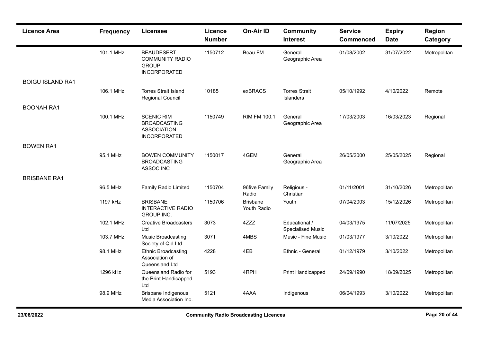| <b>Licence Area</b>     | <b>Frequency</b> | <b>Licensee</b>                                                                       | Licence<br><b>Number</b> | On-Air ID                      | <b>Community</b><br><b>Interest</b>       | <b>Service</b><br><b>Commenced</b> | <b>Expiry</b><br><b>Date</b> | <b>Region</b><br>Category |
|-------------------------|------------------|---------------------------------------------------------------------------------------|--------------------------|--------------------------------|-------------------------------------------|------------------------------------|------------------------------|---------------------------|
|                         | 101.1 MHz        | <b>BEAUDESERT</b><br><b>COMMUNITY RADIO</b><br><b>GROUP</b><br>INCORPORATED           | 1150712                  | Beau FM                        | General<br>Geographic Area                | 01/08/2002                         | 31/07/2022                   | Metropolitan              |
| <b>BOIGU ISLAND RA1</b> |                  |                                                                                       |                          |                                |                                           |                                    |                              |                           |
|                         | 106.1 MHz        | <b>Torres Strait Island</b><br>Regional Council                                       | 10185                    | exBRACS                        | <b>Torres Strait</b><br>Islanders         | 05/10/1992                         | 4/10/2022                    | Remote                    |
| <b>BOONAH RA1</b>       |                  |                                                                                       |                          |                                |                                           |                                    |                              |                           |
|                         | 100.1 MHz        | <b>SCENIC RIM</b><br><b>BROADCASTING</b><br><b>ASSOCIATION</b><br><b>INCORPORATED</b> | 1150749                  | <b>RIM FM 100.1</b>            | General<br>Geographic Area                | 17/03/2003                         | 16/03/2023                   | Regional                  |
| <b>BOWEN RA1</b>        |                  |                                                                                       |                          |                                |                                           |                                    |                              |                           |
|                         | 95.1 MHz         | <b>BOWEN COMMUNITY</b><br><b>BROADCASTING</b><br>ASSOC INC                            | 1150017                  | 4GEM                           | General<br>Geographic Area                | 26/05/2000                         | 25/05/2025                   | Regional                  |
| <b>BRISBANE RA1</b>     |                  |                                                                                       |                          |                                |                                           |                                    |                              |                           |
|                         | 96.5 MHz         | <b>Family Radio Limited</b>                                                           | 1150704                  | 96five Family<br>Radio         | Religious -<br>Christian                  | 01/11/2001                         | 31/10/2026                   | Metropolitan              |
|                         | 1197 kHz         | <b>BRISBANE</b><br><b>INTERACTIVE RADIO</b><br><b>GROUP INC.</b>                      | 1150706                  | <b>Brisbane</b><br>Youth Radio | Youth                                     | 07/04/2003                         | 15/12/2026                   | Metropolitan              |
|                         | 102.1 MHz        | <b>Creative Broadcasters</b><br>Ltd                                                   | 3073                     | 4ZZZ                           | Educational /<br><b>Specialised Music</b> | 04/03/1975                         | 11/07/2025                   | Metropolitan              |
|                         | 103.7 MHz        | Music Broadcasting<br>Society of Qld Ltd                                              | 3071                     | 4MBS                           | Music - Fine Music                        | 01/03/1977                         | 3/10/2022                    | Metropolitan              |
|                         | 98.1 MHz         | <b>Ethnic Broadcasting</b><br>Association of<br>Queensland Ltd                        | 4228                     | 4EB                            | Ethnic - General                          | 01/12/1979                         | 3/10/2022                    | Metropolitan              |
|                         | 1296 kHz         | Queensland Radio for<br>the Print Handicapped<br>Ltd                                  | 5193                     | 4RPH                           | Print Handicapped                         | 24/09/1990                         | 18/09/2025                   | Metropolitan              |
|                         | 98.9 MHz         | <b>Brisbane Indigenous</b><br>Media Association Inc.                                  | 5121                     | 4AAA                           | Indigenous                                | 06/04/1993                         | 3/10/2022                    | Metropolitan              |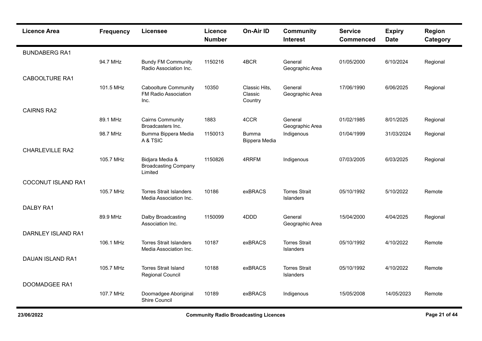| <b>Licence Area</b>       | <b>Frequency</b> | <b>Licensee</b>                                             | Licence<br><b>Number</b> | <b>On-Air ID</b>                    | <b>Community</b><br><b>Interest</b>      | <b>Service</b><br><b>Commenced</b> | <b>Expiry</b><br><b>Date</b> | Region<br>Category |
|---------------------------|------------------|-------------------------------------------------------------|--------------------------|-------------------------------------|------------------------------------------|------------------------------------|------------------------------|--------------------|
| <b>BUNDABERG RA1</b>      |                  |                                                             |                          |                                     |                                          |                                    |                              |                    |
|                           | 94.7 MHz         | <b>Bundy FM Community</b><br>Radio Association Inc.         | 1150216                  | 4BCR                                | General<br>Geographic Area               | 01/05/2000                         | 6/10/2024                    | Regional           |
| <b>CABOOLTURE RA1</b>     |                  |                                                             |                          |                                     |                                          |                                    |                              |                    |
|                           | 101.5 MHz        | <b>Caboolture Community</b><br>FM Radio Association<br>Inc. | 10350                    | Classic Hits.<br>Classic<br>Country | General<br>Geographic Area               | 17/06/1990                         | 6/06/2025                    | Regional           |
| <b>CAIRNS RA2</b>         |                  |                                                             |                          |                                     |                                          |                                    |                              |                    |
|                           | 89.1 MHz         | <b>Cairns Community</b><br>Broadcasters Inc.                | 1883                     | 4CCR                                | General<br>Geographic Area               | 01/02/1985                         | 8/01/2025                    | Regional           |
|                           | 98.7 MHz         | Bumma Bippera Media<br>A & TSIC                             | 1150013                  | <b>Bumma</b><br>Bippera Media       | Indigenous                               | 01/04/1999                         | 31/03/2024                   | Regional           |
| <b>CHARLEVILLE RA2</b>    |                  |                                                             |                          |                                     |                                          |                                    |                              |                    |
|                           | 105.7 MHz        | Bidjara Media &<br><b>Broadcasting Company</b><br>Limited   | 1150826                  | 4RRFM                               | Indigenous                               | 07/03/2005                         | 6/03/2025                    | Regional           |
| <b>COCONUT ISLAND RA1</b> |                  |                                                             |                          |                                     |                                          |                                    |                              |                    |
|                           | 105.7 MHz        | <b>Torres Strait Islanders</b><br>Media Association Inc.    | 10186                    | exBRACS                             | <b>Torres Strait</b><br><b>Islanders</b> | 05/10/1992                         | 5/10/2022                    | Remote             |
| <b>DALBY RA1</b>          |                  |                                                             |                          |                                     |                                          |                                    |                              |                    |
|                           | 89.9 MHz         | Dalby Broadcasting<br>Association Inc.                      | 1150099                  | 4DDD                                | General<br>Geographic Area               | 15/04/2000                         | 4/04/2025                    | Regional           |
| DARNLEY ISLAND RA1        |                  |                                                             |                          |                                     |                                          |                                    |                              |                    |
|                           | 106.1 MHz        | <b>Torres Strait Islanders</b><br>Media Association Inc.    | 10187                    | exBRACS                             | <b>Torres Strait</b><br>Islanders        | 05/10/1992                         | 4/10/2022                    | Remote             |
| <b>DAUAN ISLAND RA1</b>   |                  |                                                             |                          |                                     |                                          |                                    |                              |                    |
|                           | 105.7 MHz        | <b>Torres Strait Island</b><br>Regional Council             | 10188                    | exBRACS                             | <b>Torres Strait</b><br><b>Islanders</b> | 05/10/1992                         | 4/10/2022                    | Remote             |
| <b>DOOMADGEE RA1</b>      |                  |                                                             |                          |                                     |                                          |                                    |                              |                    |
|                           | 107.7 MHz        | Doomadgee Aboriginal<br>Shire Council                       | 10189                    | exBRACS                             | Indigenous                               | 15/05/2008                         | 14/05/2023                   | Remote             |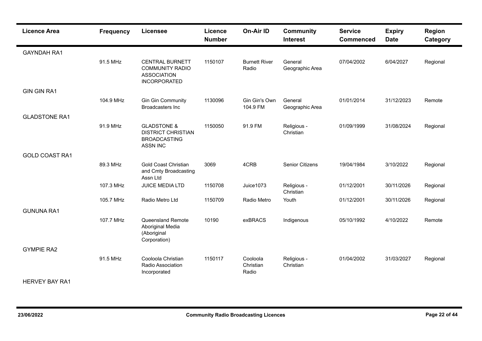| <b>Licence Area</b>   | <b>Frequency</b> | <b>Licensee</b>                                                                               | Licence<br><b>Number</b> | <b>On-Air ID</b>               | <b>Community</b><br><b>Interest</b> | <b>Service</b><br><b>Commenced</b> | <b>Expiry</b><br><b>Date</b> | Region<br>Category |
|-----------------------|------------------|-----------------------------------------------------------------------------------------------|--------------------------|--------------------------------|-------------------------------------|------------------------------------|------------------------------|--------------------|
| <b>GAYNDAH RA1</b>    |                  |                                                                                               |                          |                                |                                     |                                    |                              |                    |
|                       | 91.5 MHz         | <b>CENTRAL BURNETT</b><br><b>COMMUNITY RADIO</b><br><b>ASSOCIATION</b><br><b>INCORPORATED</b> | 1150107                  | <b>Burnett River</b><br>Radio  | General<br>Geographic Area          | 07/04/2002                         | 6/04/2027                    | Regional           |
| <b>GIN GIN RA1</b>    |                  |                                                                                               |                          |                                |                                     |                                    |                              |                    |
|                       | 104.9 MHz        | <b>Gin Gin Community</b><br><b>Broadcasters Inc</b>                                           | 1130096                  | Gin Gin's Own<br>104.9 FM      | General<br>Geographic Area          | 01/01/2014                         | 31/12/2023                   | Remote             |
| <b>GLADSTONE RA1</b>  |                  |                                                                                               |                          |                                |                                     |                                    |                              |                    |
|                       | 91.9 MHz         | <b>GLADSTONE &amp;</b><br><b>DISTRICT CHRISTIAN</b><br><b>BROADCASTING</b><br><b>ASSN INC</b> | 1150050                  | 91.9 FM                        | Religious -<br>Christian            | 01/09/1999                         | 31/08/2024                   | Regional           |
| <b>GOLD COAST RA1</b> |                  |                                                                                               |                          |                                |                                     |                                    |                              |                    |
|                       | 89.3 MHz         | <b>Gold Coast Christian</b><br>and Cmty Broadcasting<br>Assn Ltd                              | 3069                     | 4CRB                           | <b>Senior Citizens</b>              | 19/04/1984                         | 3/10/2022                    | Regional           |
|                       | 107.3 MHz        | JUICE MEDIA LTD                                                                               | 1150708                  | Juice1073                      | Religious -<br>Christian            | 01/12/2001                         | 30/11/2026                   | Regional           |
|                       | 105.7 MHz        | Radio Metro Ltd                                                                               | 1150709                  | Radio Metro                    | Youth                               | 01/12/2001                         | 30/11/2026                   | Regional           |
| <b>GUNUNA RA1</b>     |                  |                                                                                               |                          |                                |                                     |                                    |                              |                    |
|                       | 107.7 MHz        | <b>Queensland Remote</b><br>Aboriginal Media<br>(Aboriginal<br>Corporation)                   | 10190                    | exBRACS                        | Indigenous                          | 05/10/1992                         | 4/10/2022                    | Remote             |
| <b>GYMPIE RA2</b>     |                  |                                                                                               |                          |                                |                                     |                                    |                              |                    |
|                       | 91.5 MHz         | Cooloola Christian<br>Radio Association<br>Incorporated                                       | 1150117                  | Cooloola<br>Christian<br>Radio | Religious -<br>Christian            | 01/04/2002                         | 31/03/2027                   | Regional           |
| <b>HERVEY BAY RA1</b> |                  |                                                                                               |                          |                                |                                     |                                    |                              |                    |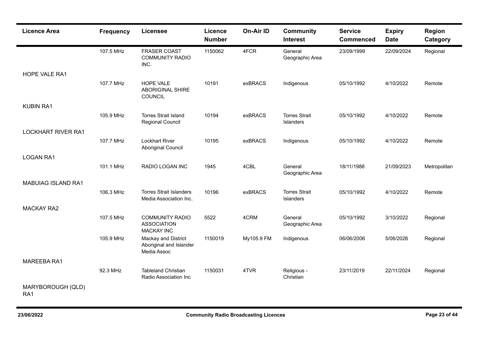| <b>Licence Area</b>                  | <b>Frequency</b> | <b>Licensee</b>                                                   | <b>Licence</b><br><b>Number</b> | On-Air ID  | <b>Community</b><br><b>Interest</b> | <b>Service</b><br><b>Commenced</b> | <b>Expiry</b><br><b>Date</b> | <b>Region</b><br>Category |
|--------------------------------------|------------------|-------------------------------------------------------------------|---------------------------------|------------|-------------------------------------|------------------------------------|------------------------------|---------------------------|
|                                      | 107.5 MHz        | <b>FRASER COAST</b><br><b>COMMUNITY RADIO</b><br>INC.             | 1150062                         | 4FCR       | General<br>Geographic Area          | 23/09/1999                         | 22/09/2024                   | Regional                  |
| HOPE VALE RA1                        |                  |                                                                   |                                 |            |                                     |                                    |                              |                           |
|                                      | 107.7 MHz        | <b>HOPE VALE</b><br><b>ABORIGINAL SHIRE</b><br>COUNCIL            | 10191                           | exBRACS    | Indigenous                          | 05/10/1992                         | 4/10/2022                    | Remote                    |
| <b>KUBIN RA1</b>                     |                  |                                                                   |                                 |            |                                     |                                    |                              |                           |
|                                      | 105.9 MHz        | <b>Torres Strait Island</b><br>Regional Council                   | 10194                           | exBRACS    | <b>Torres Strait</b><br>Islanders   | 05/10/1992                         | 4/10/2022                    | Remote                    |
| <b>LOCKHART RIVER RA1</b>            |                  |                                                                   |                                 |            |                                     |                                    |                              |                           |
|                                      | 107.7 MHz        | <b>Lockhart River</b><br><b>Aboriginal Council</b>                | 10195                           | exBRACS    | Indigenous                          | 05/10/1992                         | 4/10/2022                    | Remote                    |
| <b>LOGAN RA1</b>                     |                  |                                                                   |                                 |            |                                     |                                    |                              |                           |
|                                      | 101.1 MHz        | RADIO LOGAN INC                                                   | 1945                            | 4CBL       | General<br>Geographic Area          | 18/11/1988                         | 21/09/2023                   | Metropolitan              |
| <b>MABUIAG ISLAND RA1</b>            |                  |                                                                   |                                 |            |                                     |                                    |                              |                           |
|                                      | 106.3 MHz        | <b>Torres Strait Islanders</b><br>Media Association Inc.          | 10196                           | exBRACS    | <b>Torres Strait</b><br>Islanders   | 05/10/1992                         | 4/10/2022                    | Remote                    |
| <b>MACKAY RA2</b>                    |                  |                                                                   |                                 |            |                                     |                                    |                              |                           |
|                                      | 107.5 MHz        | <b>COMMUNITY RADIO</b><br><b>ASSOCIATION</b><br><b>MACKAY INC</b> | 5522                            | 4CRM       | General<br>Geographic Area          | 05/10/1992                         | 3/10/2022                    | Regional                  |
|                                      | 105.9 MHz        | Mackay and District<br>Aboriginal and Islander<br>Media Assoc     | 1150019                         | My105.9 FM | Indigenous                          | 06/06/2006                         | 5/06/2026                    | Regional                  |
| MAREEBA RA1                          |                  |                                                                   |                                 |            |                                     |                                    |                              |                           |
|                                      | 92.3 MHz         | <b>Tableland Christian</b><br>Radio Association Inc               | 1150031                         | 4TVR       | Religious -<br>Christian            | 23/11/2019                         | 22/11/2024                   | Regional                  |
| MARYBOROUGH (QLD)<br>RA <sub>1</sub> |                  |                                                                   |                                 |            |                                     |                                    |                              |                           |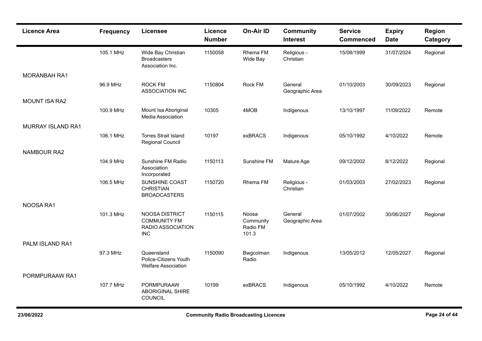| <b>Licence Area</b>      | <b>Frequency</b> | <b>Licensee</b>                                                          | Licence<br><b>Number</b> | On-Air ID                               | <b>Community</b><br><b>Interest</b> | <b>Service</b><br><b>Commenced</b> | <b>Expiry</b><br><b>Date</b> | Region<br>Category |
|--------------------------|------------------|--------------------------------------------------------------------------|--------------------------|-----------------------------------------|-------------------------------------|------------------------------------|------------------------------|--------------------|
|                          | 105.1 MHz        | Wide Bay Christian<br><b>Broadcasters</b><br>Association Inc.            | 1150058                  | Rhema FM<br>Wide Bay                    | Religious -<br>Christian            | 15/08/1999                         | 31/07/2024                   | Regional           |
| MORANBAH RA1             |                  |                                                                          |                          |                                         |                                     |                                    |                              |                    |
|                          | 96.9 MHz         | <b>ROCK FM</b><br><b>ASSOCIATION INC</b>                                 | 1150804                  | Rock FM                                 | General<br>Geographic Area          | 01/10/2003                         | 30/09/2023                   | Regional           |
| <b>MOUNT ISA RA2</b>     |                  |                                                                          |                          |                                         |                                     |                                    |                              |                    |
|                          | 100.9 MHz        | Mount Isa Aboriginal<br><b>Media Association</b>                         | 10305                    | 4MOB                                    | Indigenous                          | 13/10/1997                         | 11/09/2022                   | Remote             |
| <b>MURRAY ISLAND RA1</b> |                  |                                                                          |                          |                                         |                                     |                                    |                              |                    |
|                          | 106.1 MHz        | <b>Torres Strait Island</b><br><b>Regional Council</b>                   | 10197                    | exBRACS                                 | Indigenous                          | 05/10/1992                         | 4/10/2022                    | Remote             |
| <b>NAMBOUR RA2</b>       |                  |                                                                          |                          |                                         |                                     |                                    |                              |                    |
|                          | 104.9 MHz        | Sunshine FM Radio<br>Association<br>Incorporated                         | 1150113                  | Sunshine FM                             | Mature Age                          | 09/12/2002                         | 8/12/2022                    | Regional           |
|                          | 106.5 MHz        | SUNSHINE COAST<br><b>CHRISTIAN</b><br><b>BROADCASTERS</b>                | 1150720                  | Rhema FM                                | Religious -<br>Christian            | 01/03/2003                         | 27/02/2023                   | Regional           |
| NOOSA RA1                |                  |                                                                          |                          |                                         |                                     |                                    |                              |                    |
|                          | 101.3 MHz        | NOOSA DISTRICT<br><b>COMMUNITY FM</b><br>RADIO ASSOCIATION<br><b>INC</b> | 1150115                  | Noosa<br>Community<br>Radio FM<br>101.3 | General<br>Geographic Area          | 01/07/2002                         | 30/06/2027                   | Regional           |
| PALM ISLAND RA1          |                  |                                                                          |                          |                                         |                                     |                                    |                              |                    |
|                          | 97.3 MHz         | Queensland<br>Police-Citizens Youth<br><b>Welfare Association</b>        | 1150090                  | Bwgcolman<br>Radio                      | Indigenous                          | 13/05/2012                         | 12/05/2027                   | Regional           |
| PORMPURAAW RA1           |                  |                                                                          |                          |                                         |                                     |                                    |                              |                    |
|                          | 107.7 MHz        | PORMPURAAW<br><b>ABORIGINAL SHIRE</b><br>COUNCIL                         | 10199                    | exBRACS                                 | Indigenous                          | 05/10/1992                         | 4/10/2022                    | Remote             |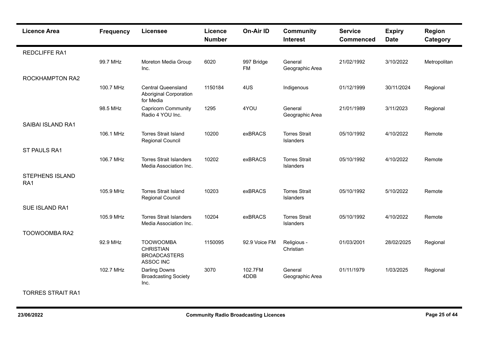| <b>Licence Area</b>           | <b>Frequency</b> | <b>Licensee</b>                                                          | Licence<br><b>Number</b> | On-Air ID               | <b>Community</b><br><b>Interest</b>      | <b>Service</b><br><b>Commenced</b> | <b>Expiry</b><br><b>Date</b> | Region<br>Category |
|-------------------------------|------------------|--------------------------------------------------------------------------|--------------------------|-------------------------|------------------------------------------|------------------------------------|------------------------------|--------------------|
| <b>REDCLIFFE RA1</b>          |                  |                                                                          |                          |                         |                                          |                                    |                              |                    |
|                               | 99.7 MHz         | Moreton Media Group<br>Inc.                                              | 6020                     | 997 Bridge<br><b>FM</b> | General<br>Geographic Area               | 21/02/1992                         | 3/10/2022                    | Metropolitan       |
| ROCKHAMPTON RA2               |                  |                                                                          |                          |                         |                                          |                                    |                              |                    |
|                               | 100.7 MHz        | <b>Central Queensland</b><br><b>Aboriginal Corporation</b><br>for Media  | 1150184                  | 4US                     | Indigenous                               | 01/12/1999                         | 30/11/2024                   | Regional           |
|                               | 98.5 MHz         | <b>Capricorn Community</b><br>Radio 4 YOU Inc.                           | 1295                     | 4YOU                    | General<br>Geographic Area               | 21/01/1989                         | 3/11/2023                    | Regional           |
| <b>SAIBAI ISLAND RA1</b>      |                  |                                                                          |                          |                         |                                          |                                    |                              |                    |
|                               | 106.1 MHz        | <b>Torres Strait Island</b><br>Regional Council                          | 10200                    | exBRACS                 | <b>Torres Strait</b><br>Islanders        | 05/10/1992                         | 4/10/2022                    | Remote             |
| ST PAULS RA1                  |                  |                                                                          |                          |                         |                                          |                                    |                              |                    |
|                               | 106.7 MHz        | <b>Torres Strait Islanders</b><br>Media Association Inc.                 | 10202                    | exBRACS                 | <b>Torres Strait</b><br><b>Islanders</b> | 05/10/1992                         | 4/10/2022                    | Remote             |
| <b>STEPHENS ISLAND</b><br>RA1 |                  |                                                                          |                          |                         |                                          |                                    |                              |                    |
|                               | 105.9 MHz        | <b>Torres Strait Island</b><br>Regional Council                          | 10203                    | exBRACS                 | <b>Torres Strait</b><br><b>Islanders</b> | 05/10/1992                         | 5/10/2022                    | Remote             |
| SUE ISLAND RA1                |                  |                                                                          |                          |                         |                                          |                                    |                              |                    |
|                               | 105.9 MHz        | <b>Torres Strait Islanders</b><br>Media Association Inc.                 | 10204                    | exBRACS                 | <b>Torres Strait</b><br>Islanders        | 05/10/1992                         | 4/10/2022                    | Remote             |
| TOOWOOMBA RA2                 |                  |                                                                          |                          |                         |                                          |                                    |                              |                    |
|                               | 92.9 MHz         | <b>TOOWOOMBA</b><br><b>CHRISTIAN</b><br><b>BROADCASTERS</b><br>ASSOC INC | 1150095                  | 92.9 Voice FM           | Religious -<br>Christian                 | 01/03/2001                         | 28/02/2025                   | Regional           |
|                               | 102.7 MHz        | <b>Darling Downs</b><br><b>Broadcasting Society</b><br>Inc.              | 3070                     | 102.7FM<br>4DDB         | General<br>Geographic Area               | 01/11/1979                         | 1/03/2025                    | Regional           |

TORRES STRAIT RA1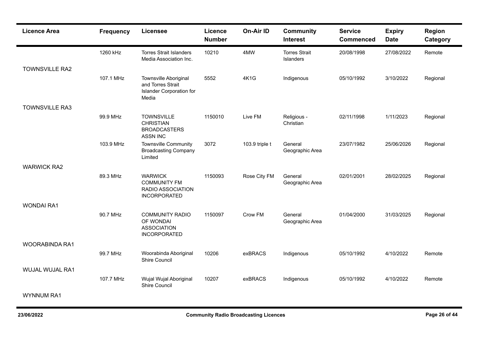| <b>Licence Area</b>   | <b>Frequency</b> | <b>Licensee</b>                                                                        | <b>Licence</b><br><b>Number</b> | On-Air ID      | <b>Community</b><br><b>Interest</b> | <b>Service</b><br><b>Commenced</b> | <b>Expiry</b><br><b>Date</b> | Region<br>Category |
|-----------------------|------------------|----------------------------------------------------------------------------------------|---------------------------------|----------------|-------------------------------------|------------------------------------|------------------------------|--------------------|
|                       | 1260 kHz         | <b>Torres Strait Islanders</b><br>Media Association Inc.                               | 10210                           | 4MW            | <b>Torres Strait</b><br>Islanders   | 20/08/1998                         | 27/08/2022                   | Remote             |
| <b>TOWNSVILLE RA2</b> |                  |                                                                                        |                                 |                |                                     |                                    |                              |                    |
|                       | 107.1 MHz        | Townsville Aboriginal<br>and Torres Strait<br><b>Islander Corporation for</b><br>Media | 5552                            | <b>4K1G</b>    | Indigenous                          | 05/10/1992                         | 3/10/2022                    | Regional           |
| <b>TOWNSVILLE RA3</b> |                  |                                                                                        |                                 |                |                                     |                                    |                              |                    |
|                       | 99.9 MHz         | <b>TOWNSVILLE</b><br><b>CHRISTIAN</b><br><b>BROADCASTERS</b><br><b>ASSN INC</b>        | 1150010                         | Live FM        | Religious -<br>Christian            | 02/11/1998                         | 1/11/2023                    | Regional           |
|                       | 103.9 MHz        | <b>Townsville Community</b><br><b>Broadcasting Company</b><br>Limited                  | 3072                            | 103.9 triple t | General<br>Geographic Area          | 23/07/1982                         | 25/06/2026                   | Regional           |
| <b>WARWICK RA2</b>    |                  |                                                                                        |                                 |                |                                     |                                    |                              |                    |
|                       | 89.3 MHz         | <b>WARWICK</b><br><b>COMMUNITY FM</b><br>RADIO ASSOCIATION<br><b>INCORPORATED</b>      | 1150093                         | Rose City FM   | General<br>Geographic Area          | 02/01/2001                         | 28/02/2025                   | Regional           |
| <b>WONDAI RA1</b>     |                  |                                                                                        |                                 |                |                                     |                                    |                              |                    |
|                       | 90.7 MHz         | <b>COMMUNITY RADIO</b><br>OF WONDAI<br><b>ASSOCIATION</b><br><b>INCORPORATED</b>       | 1150097                         | Crow FM        | General<br>Geographic Area          | 01/04/2000                         | 31/03/2025                   | Regional           |
| WOORABINDA RA1        |                  |                                                                                        |                                 |                |                                     |                                    |                              |                    |
|                       | 99.7 MHz         | Woorabinda Aboriginal<br>Shire Council                                                 | 10206                           | exBRACS        | Indigenous                          | 05/10/1992                         | 4/10/2022                    | Remote             |
| WUJAL WUJAL RA1       |                  |                                                                                        |                                 |                |                                     |                                    |                              |                    |
|                       | 107.7 MHz        | Wujal Wujal Aboriginal<br>Shire Council                                                | 10207                           | exBRACS        | Indigenous                          | 05/10/1992                         | 4/10/2022                    | Remote             |
| <b>WYNNUM RA1</b>     |                  |                                                                                        |                                 |                |                                     |                                    |                              |                    |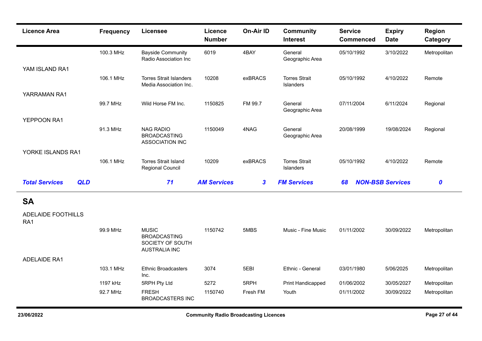| <b>Licence Area</b>                 | <b>Frequency</b> | <b>Licensee</b>                                                                 | Licence<br><b>Number</b> | <b>On-Air ID</b> | <b>Community</b><br><b>Interest</b>      | <b>Service</b><br><b>Commenced</b> | <b>Expiry</b><br><b>Date</b> | <b>Region</b><br>Category |
|-------------------------------------|------------------|---------------------------------------------------------------------------------|--------------------------|------------------|------------------------------------------|------------------------------------|------------------------------|---------------------------|
|                                     | 100.3 MHz        | <b>Bayside Community</b><br>Radio Association Inc                               | 6019                     | 4BAY             | General<br>Geographic Area               | 05/10/1992                         | 3/10/2022                    | Metropolitan              |
| YAM ISLAND RA1                      |                  |                                                                                 |                          |                  |                                          |                                    |                              |                           |
|                                     | 106.1 MHz        | <b>Torres Strait Islanders</b><br>Media Association Inc.                        | 10208                    | exBRACS          | <b>Torres Strait</b><br>Islanders        | 05/10/1992                         | 4/10/2022                    | Remote                    |
| YARRAMAN RA1                        |                  |                                                                                 |                          |                  |                                          |                                    |                              |                           |
|                                     | 99.7 MHz         | Wild Horse FM Inc.                                                              | 1150825                  | FM 99.7          | General<br>Geographic Area               | 07/11/2004                         | 6/11/2024                    | Regional                  |
| YEPPOON RA1                         |                  |                                                                                 |                          |                  |                                          |                                    |                              |                           |
|                                     | 91.3 MHz         | <b>NAG RADIO</b><br><b>BROADCASTING</b><br><b>ASSOCIATION INC</b>               | 1150049                  | 4NAG             | General<br>Geographic Area               | 20/08/1999                         | 19/08/2024                   | Regional                  |
| YORKE ISLANDS RA1                   |                  |                                                                                 |                          |                  |                                          |                                    |                              |                           |
|                                     | 106.1 MHz        | <b>Torres Strait Island</b><br><b>Regional Council</b>                          | 10209                    | exBRACS          | <b>Torres Strait</b><br><b>Islanders</b> | 05/10/1992                         | 4/10/2022                    | Remote                    |
| <b>Total Services</b><br><b>QLD</b> |                  | 71                                                                              | <b>AM Services</b>       | $\boldsymbol{3}$ | <b>FM Services</b>                       | 68                                 | <b>NON-BSB Services</b>      | $\boldsymbol{0}$          |
| <b>SA</b>                           |                  |                                                                                 |                          |                  |                                          |                                    |                              |                           |
| ADELAIDE FOOTHILLS<br>RA1           |                  |                                                                                 |                          |                  |                                          |                                    |                              |                           |
|                                     | 99.9 MHz         | <b>MUSIC</b><br><b>BROADCASTING</b><br>SOCIETY OF SOUTH<br><b>AUSTRALIA INC</b> | 1150742                  | 5MBS             | Music - Fine Music                       | 01/11/2002                         | 30/09/2022                   | Metropolitan              |
| <b>ADELAIDE RA1</b>                 |                  |                                                                                 |                          |                  |                                          |                                    |                              |                           |
|                                     | 103.1 MHz        | <b>Ethnic Broadcasters</b><br>Inc.                                              | 3074                     | 5EBI             | Ethnic - General                         | 03/01/1980                         | 5/06/2025                    | Metropolitan              |
|                                     | 1197 kHz         | 5RPH Pty Ltd                                                                    | 5272                     | 5RPH             | <b>Print Handicapped</b>                 | 01/06/2002                         | 30/05/2027                   | Metropolitan              |
|                                     | 92.7 MHz         | <b>FRESH</b><br><b>BROADCASTERS INC</b>                                         | 1150740                  | Fresh FM         | Youth                                    | 01/11/2002                         | 30/09/2022                   | Metropolitan              |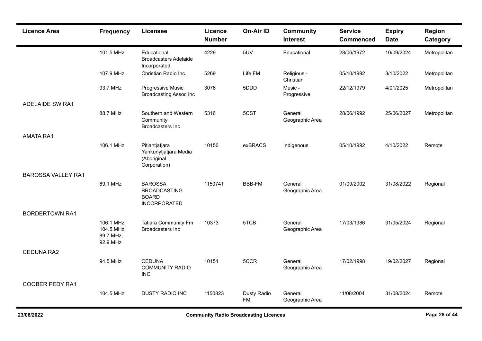| <b>Licence Area</b>       | <b>Frequency</b>                                  | <b>Licensee</b>                                                              | Licence<br><b>Number</b> | On-Air ID                | <b>Community</b><br><b>Interest</b> | <b>Service</b><br><b>Commenced</b> | <b>Expiry</b><br><b>Date</b> | <b>Region</b><br>Category |
|---------------------------|---------------------------------------------------|------------------------------------------------------------------------------|--------------------------|--------------------------|-------------------------------------|------------------------------------|------------------------------|---------------------------|
|                           | 101.5 MHz                                         | Educational<br><b>Broadcasters Adelaide</b><br>Incorporated                  | 4229                     | 5UV                      | Educational                         | 28/06/1972                         | 10/09/2024                   | Metropolitan              |
|                           | 107.9 MHz                                         | Christian Radio Inc.                                                         | 5269                     | Life FM                  | Religious -<br>Christian            | 05/10/1992                         | 3/10/2022                    | Metropolitan              |
|                           | 93.7 MHz                                          | Progressive Music<br><b>Broadcasting Assoc Inc</b>                           | 3076                     | 5DDD                     | Music -<br>Progressive              | 22/12/1979                         | 4/01/2025                    | Metropolitan              |
| <b>ADELAIDE SW RA1</b>    |                                                   |                                                                              |                          |                          |                                     |                                    |                              |                           |
|                           | 88.7 MHz                                          | Southern and Western<br>Community<br>Broadcasters Inc                        | 5316                     | 5CST                     | General<br>Geographic Area          | 28/06/1992                         | 25/06/2027                   | Metropolitan              |
| <b>AMATA RA1</b>          |                                                   |                                                                              |                          |                          |                                     |                                    |                              |                           |
|                           | 106.1 MHz                                         | Pitjantjatjara<br>Yankunytjatjara Media<br>(Aboriginal<br>Corporation)       | 10150                    | exBRACS                  | Indigenous                          | 05/10/1992                         | 4/10/2022                    | Remote                    |
| <b>BAROSSA VALLEY RA1</b> |                                                   |                                                                              |                          |                          |                                     |                                    |                              |                           |
|                           | 89.1 MHz                                          | <b>BAROSSA</b><br><b>BROADCASTING</b><br><b>BOARD</b><br><b>INCORPORATED</b> | 1150741                  | <b>BBB-FM</b>            | General<br>Geographic Area          | 01/09/2002                         | 31/08/2022                   | Regional                  |
| <b>BORDERTOWN RA1</b>     |                                                   |                                                                              |                          |                          |                                     |                                    |                              |                           |
|                           | 106.1 MHz,<br>104.5 MHz,<br>89.7 MHz,<br>92.9 MHz | <b>Tatiara Community Fm</b><br><b>Broadcasters Inc</b>                       | 10373                    | 5TCB                     | General<br>Geographic Area          | 17/03/1986                         | 31/05/2024                   | Regional                  |
| CEDUNA RA2                |                                                   |                                                                              |                          |                          |                                     |                                    |                              |                           |
|                           | 94.5 MHz                                          | <b>CEDUNA</b><br><b>COMMUNITY RADIO</b><br><b>INC</b>                        | 10151                    | 5CCR                     | General<br>Geographic Area          | 17/02/1998                         | 19/02/2027                   | Regional                  |
| <b>COOBER PEDY RA1</b>    |                                                   |                                                                              |                          |                          |                                     |                                    |                              |                           |
|                           | 104.5 MHz                                         | <b>DUSTY RADIO INC</b>                                                       | 1150823                  | Dusty Radio<br><b>FM</b> | General<br>Geographic Area          | 11/08/2004                         | 31/08/2024                   | Remote                    |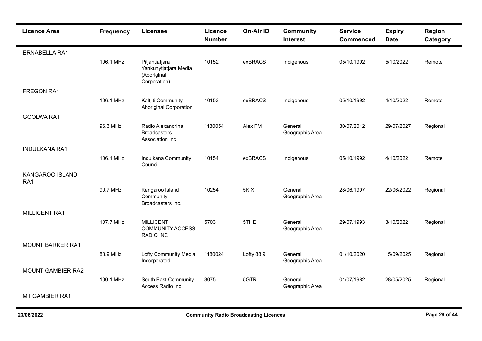| <b>Licence Area</b>      | <b>Frequency</b> | <b>Licensee</b>                                                        | <b>Licence</b><br><b>Number</b> | On-Air ID  | <b>Community</b><br><b>Interest</b> | <b>Service</b><br><b>Commenced</b> | <b>Expiry</b><br><b>Date</b> | <b>Region</b><br>Category |
|--------------------------|------------------|------------------------------------------------------------------------|---------------------------------|------------|-------------------------------------|------------------------------------|------------------------------|---------------------------|
| <b>ERNABELLA RA1</b>     |                  |                                                                        |                                 |            |                                     |                                    |                              |                           |
|                          | 106.1 MHz        | Pitjantjatjara<br>Yankunytjatjara Media<br>(Aboriginal<br>Corporation) | 10152                           | exBRACS    | Indigenous                          | 05/10/1992                         | 5/10/2022                    | Remote                    |
| <b>FREGON RA1</b>        |                  |                                                                        |                                 |            |                                     |                                    |                              |                           |
|                          | 106.1 MHz        | Kaltjiti Community<br><b>Aboriginal Corporation</b>                    | 10153                           | exBRACS    | Indigenous                          | 05/10/1992                         | 4/10/2022                    | Remote                    |
| GOOLWA RA1               |                  |                                                                        |                                 |            |                                     |                                    |                              |                           |
|                          | 96.3 MHz         | Radio Alexandrina<br><b>Broadcasters</b><br>Association Inc            | 1130054                         | Alex FM    | General<br>Geographic Area          | 30/07/2012                         | 29/07/2027                   | Regional                  |
| <b>INDULKANA RA1</b>     |                  |                                                                        |                                 |            |                                     |                                    |                              |                           |
|                          | 106.1 MHz        | Indulkana Community<br>Council                                         | 10154                           | exBRACS    | Indigenous                          | 05/10/1992                         | 4/10/2022                    | Remote                    |
| KANGAROO ISLAND<br>RA1   |                  |                                                                        |                                 |            |                                     |                                    |                              |                           |
|                          | 90.7 MHz         | Kangaroo Island<br>Community<br>Broadcasters Inc.                      | 10254                           | 5KIX       | General<br>Geographic Area          | 28/06/1997                         | 22/06/2022                   | Regional                  |
| MILLICENT RA1            |                  |                                                                        |                                 |            |                                     |                                    |                              |                           |
|                          | 107.7 MHz        | <b>MILLICENT</b><br><b>COMMUNITY ACCESS</b><br>RADIO INC               | 5703                            | 5THE       | General<br>Geographic Area          | 29/07/1993                         | 3/10/2022                    | Regional                  |
| <b>MOUNT BARKER RA1</b>  |                  |                                                                        |                                 |            |                                     |                                    |                              |                           |
|                          | 88.9 MHz         | Lofty Community Media<br>Incorporated                                  | 1180024                         | Lofty 88.9 | General<br>Geographic Area          | 01/10/2020                         | 15/09/2025                   | Regional                  |
| <b>MOUNT GAMBIER RA2</b> |                  |                                                                        |                                 |            |                                     |                                    |                              |                           |
|                          | 100.1 MHz        | South East Community<br>Access Radio Inc.                              | 3075                            | 5GTR       | General<br>Geographic Area          | 01/07/1982                         | 28/05/2025                   | Regional                  |
| <b>MT GAMBIER RA1</b>    |                  |                                                                        |                                 |            |                                     |                                    |                              |                           |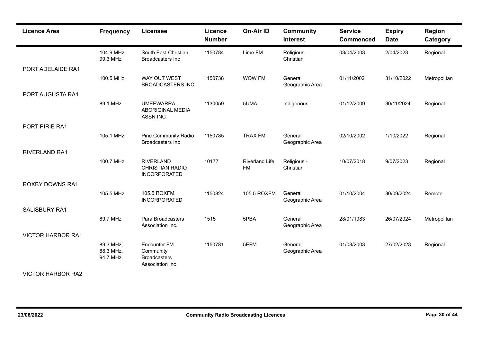| <b>Licence Area</b>      | <b>Frequency</b>                   | Licensee                                                            | Licence<br><b>Number</b> | On-Air ID                          | <b>Community</b><br><b>Interest</b> | <b>Service</b><br><b>Commenced</b> | <b>Expiry</b><br><b>Date</b> | <b>Region</b><br>Category |
|--------------------------|------------------------------------|---------------------------------------------------------------------|--------------------------|------------------------------------|-------------------------------------|------------------------------------|------------------------------|---------------------------|
|                          | 104.9 MHz,<br>99.3 MHz             | South East Christian<br>Broadcasters Inc                            | 1150784                  | Lime FM                            | Religious -<br>Christian            | 03/04/2003                         | 2/04/2023                    | Regional                  |
| PORT ADELAIDE RA1        |                                    |                                                                     |                          |                                    |                                     |                                    |                              |                           |
|                          | 100.5 MHz                          | WAY OUT WEST<br><b>BROADCASTERS INC</b>                             | 1150738                  | WOW FM                             | General<br>Geographic Area          | 01/11/2002                         | 31/10/2022                   | Metropolitan              |
| PORT AUGUSTA RA1         |                                    |                                                                     |                          |                                    |                                     |                                    |                              |                           |
|                          | 89.1 MHz                           | <b>UMEEWARRA</b><br>ABORIGINAL MEDIA<br><b>ASSN INC</b>             | 1130059                  | 5UMA                               | Indigenous                          | 01/12/2009                         | 30/11/2024                   | Regional                  |
| PORT PIRIE RA1           |                                    |                                                                     |                          |                                    |                                     |                                    |                              |                           |
|                          | 105.1 MHz                          | Pirie Community Radio<br><b>Broadcasters Inc</b>                    | 1150785                  | <b>TRAX FM</b>                     | General<br>Geographic Area          | 02/10/2002                         | 1/10/2022                    | Regional                  |
| <b>RIVERLAND RA1</b>     |                                    |                                                                     |                          |                                    |                                     |                                    |                              |                           |
|                          | 100.7 MHz                          | <b>RIVERLAND</b><br><b>CHRISTIAN RADIO</b><br><b>INCORPORATED</b>   | 10177                    | <b>Riverland Life</b><br><b>FM</b> | Religious -<br>Christian            | 10/07/2018                         | 9/07/2023                    | Regional                  |
| <b>ROXBY DOWNS RA1</b>   |                                    |                                                                     |                          |                                    |                                     |                                    |                              |                           |
|                          | 105.5 MHz                          | 105.5 ROXFM<br><b>INCORPORATED</b>                                  | 1150824                  | 105.5 ROXFM                        | General<br>Geographic Area          | 01/10/2004                         | 30/09/2024                   | Remote                    |
| <b>SALISBURY RA1</b>     |                                    |                                                                     |                          |                                    |                                     |                                    |                              |                           |
|                          | 89.7 MHz                           | Para Broadcasters<br>Association Inc.                               | 1515                     | 5PBA                               | General<br>Geographic Area          | 28/01/1983                         | 26/07/2024                   | Metropolitan              |
| <b>VICTOR HARBOR RA1</b> |                                    |                                                                     |                          |                                    |                                     |                                    |                              |                           |
|                          | 89.3 MHz,<br>88.3 MHz,<br>94.7 MHz | Encounter FM<br>Community<br><b>Broadcasters</b><br>Association Inc | 1150781                  | 5EFM                               | General<br>Geographic Area          | 01/03/2003                         | 27/02/2023                   | Regional                  |
| <b>VICTOR HARBOR RA2</b> |                                    |                                                                     |                          |                                    |                                     |                                    |                              |                           |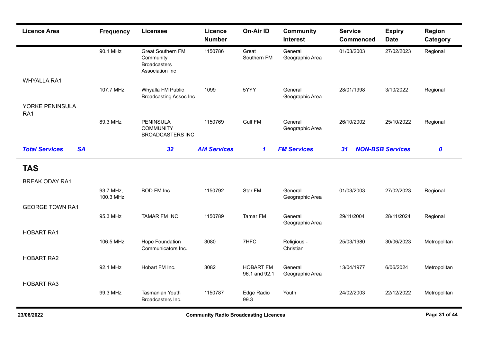| <b>Licence Area</b>                | <b>Frequency</b>       | <b>Licensee</b>                                                                 | Licence<br><b>Number</b> | On-Air ID                         | <b>Community</b><br><b>Interest</b> | <b>Service</b><br><b>Commenced</b> | <b>Expiry</b><br><b>Date</b> | Region<br>Category |
|------------------------------------|------------------------|---------------------------------------------------------------------------------|--------------------------|-----------------------------------|-------------------------------------|------------------------------------|------------------------------|--------------------|
|                                    | 90.1 MHz               | <b>Great Southern FM</b><br>Community<br><b>Broadcasters</b><br>Association Inc | 1150786                  | Great<br>Southern FM              | General<br>Geographic Area          | 01/03/2003                         | 27/02/2023                   | Regional           |
| <b>WHYALLA RA1</b>                 |                        |                                                                                 |                          |                                   |                                     |                                    |                              |                    |
|                                    | 107.7 MHz              | Whyalla FM Public<br><b>Broadcasting Assoc Inc</b>                              | 1099                     | 5YYY                              | General<br>Geographic Area          | 28/01/1998                         | 3/10/2022                    | Regional           |
| YORKE PENINSULA<br>RA1             |                        |                                                                                 |                          |                                   |                                     |                                    |                              |                    |
|                                    | 89.3 MHz               | <b>PENINSULA</b><br><b>COMMUNITY</b><br><b>BROADCASTERS INC</b>                 | 1150769                  | <b>Gulf FM</b>                    | General<br>Geographic Area          | 26/10/2002                         | 25/10/2022                   | Regional           |
| <b>Total Services</b><br><b>SA</b> |                        | 32                                                                              | <b>AM Services</b>       | $\mathbf 1$                       | <b>FM Services</b>                  | 31                                 | <b>NON-BSB Services</b>      | $\boldsymbol{0}$   |
| <b>TAS</b>                         |                        |                                                                                 |                          |                                   |                                     |                                    |                              |                    |
| <b>BREAK ODAY RA1</b>              |                        |                                                                                 |                          |                                   |                                     |                                    |                              |                    |
|                                    | 93.7 MHz,<br>100.3 MHz | <b>BOD FM Inc.</b>                                                              | 1150792                  | Star FM                           | General<br>Geographic Area          | 01/03/2003                         | 27/02/2023                   | Regional           |
| <b>GEORGE TOWN RA1</b>             |                        |                                                                                 |                          |                                   |                                     |                                    |                              |                    |
|                                    | 95.3 MHz               | <b>TAMAR FM INC</b>                                                             | 1150789                  | Tamar FM                          | General<br>Geographic Area          | 29/11/2004                         | 28/11/2024                   | Regional           |
| <b>HOBART RA1</b>                  |                        |                                                                                 |                          |                                   |                                     |                                    |                              |                    |
|                                    | 106.5 MHz              | Hope Foundation<br>Communicators Inc.                                           | 3080                     | 7HFC                              | Religious -<br>Christian            | 25/03/1980                         | 30/06/2023                   | Metropolitan       |
| <b>HOBART RA2</b>                  |                        |                                                                                 |                          |                                   |                                     |                                    |                              |                    |
|                                    | 92.1 MHz               | Hobart FM Inc.                                                                  | 3082                     | <b>HOBART FM</b><br>96.1 and 92.1 | General<br>Geographic Area          | 13/04/1977                         | 6/06/2024                    | Metropolitan       |
| <b>HOBART RA3</b>                  |                        |                                                                                 |                          |                                   |                                     |                                    |                              |                    |
|                                    | 99.3 MHz               | <b>Tasmanian Youth</b><br>Broadcasters Inc.                                     | 1150787                  | Edge Radio<br>99.3                | Youth                               | 24/02/2003                         | 22/12/2022                   | Metropolitan       |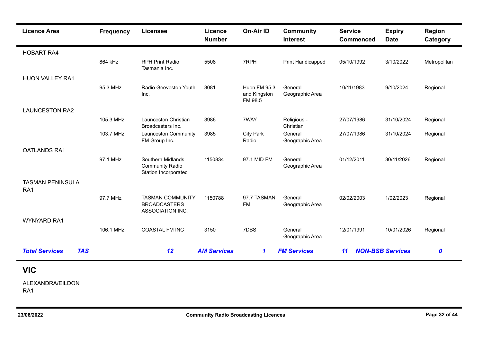| <b>Licence Area</b>                 | <b>Frequency</b> | Licensee                                                            | <b>Licence</b><br><b>Number</b> | <b>On-Air ID</b>                        | <b>Community</b><br><b>Interest</b> | <b>Service</b><br><b>Commenced</b> | <b>Expiry</b><br><b>Date</b> | <b>Region</b><br>Category |
|-------------------------------------|------------------|---------------------------------------------------------------------|---------------------------------|-----------------------------------------|-------------------------------------|------------------------------------|------------------------------|---------------------------|
| <b>HOBART RA4</b>                   |                  |                                                                     |                                 |                                         |                                     |                                    |                              |                           |
|                                     | 864 kHz          | <b>RPH Print Radio</b><br>Tasmania Inc.                             | 5508                            | 7RPH                                    | Print Handicapped                   | 05/10/1992                         | 3/10/2022                    | Metropolitan              |
| <b>HUON VALLEY RA1</b>              |                  |                                                                     |                                 |                                         |                                     |                                    |                              |                           |
|                                     | 95.3 MHz         | Radio Geeveston Youth<br>Inc.                                       | 3081                            | Huon FM 95.3<br>and Kingston<br>FM 98.5 | General<br>Geographic Area          | 10/11/1983                         | 9/10/2024                    | Regional                  |
| <b>LAUNCESTON RA2</b>               |                  |                                                                     |                                 |                                         |                                     |                                    |                              |                           |
|                                     | 105.3 MHz        | Launceston Christian<br>Broadcasters Inc.                           | 3986                            | 7WAY                                    | Religious -<br>Christian            | 27/07/1986                         | 31/10/2024                   | Regional                  |
|                                     | 103.7 MHz        | Launceston Community<br>FM Group Inc.                               | 3985                            | <b>City Park</b><br>Radio               | General<br>Geographic Area          | 27/07/1986                         | 31/10/2024                   | Regional                  |
| <b>OATLANDS RA1</b>                 |                  |                                                                     |                                 |                                         |                                     |                                    |                              |                           |
|                                     | 97.1 MHz         | Southern Midlands<br><b>Community Radio</b><br>Station Incorporated | 1150834                         | 97.1 MID FM                             | General<br>Geographic Area          | 01/12/2011                         | 30/11/2026                   | Regional                  |
| <b>TASMAN PENINSULA</b><br>RA1      |                  |                                                                     |                                 |                                         |                                     |                                    |                              |                           |
|                                     | 97.7 MHz         | <b>TASMAN COMMUNITY</b><br><b>BROADCASTERS</b><br>ASSOCIATION INC.  | 1150788                         | 97.7 TASMAN<br><b>FM</b>                | General<br>Geographic Area          | 02/02/2003                         | 1/02/2023                    | Regional                  |
| <b>WYNYARD RA1</b>                  |                  |                                                                     |                                 |                                         |                                     |                                    |                              |                           |
|                                     | 106.1 MHz        | <b>COASTAL FM INC</b>                                               | 3150                            | 7DBS                                    | General<br>Geographic Area          | 12/01/1991                         | 10/01/2026                   | Regional                  |
| <b>TAS</b><br><b>Total Services</b> |                  | 12                                                                  | <b>AM Services</b>              | $\mathbf 1$                             | <b>FM Services</b>                  | $\overline{11}$                    | <b>NON-BSB Services</b>      | 0                         |
| <b>VIC</b>                          |                  |                                                                     |                                 |                                         |                                     |                                    |                              |                           |
| ALEXANDRA/EILDON                    |                  |                                                                     |                                 |                                         |                                     |                                    |                              |                           |

RA1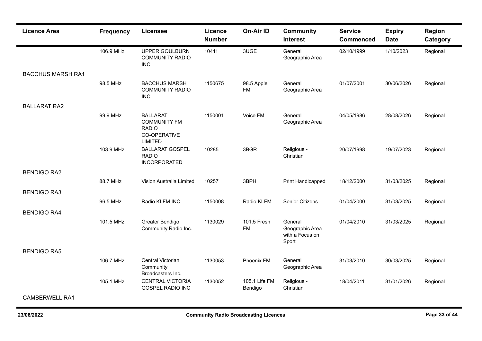| <b>Licence Area</b>      | <b>Frequency</b> | <b>Licensee</b>                                                                          | Licence<br><b>Number</b> | On-Air ID                | <b>Community</b><br><b>Interest</b>                    | <b>Service</b><br><b>Commenced</b> | <b>Expiry</b><br><b>Date</b> | Region<br>Category |
|--------------------------|------------------|------------------------------------------------------------------------------------------|--------------------------|--------------------------|--------------------------------------------------------|------------------------------------|------------------------------|--------------------|
|                          | 106.9 MHz        | <b>UPPER GOULBURN</b><br><b>COMMUNITY RADIO</b><br><b>INC</b>                            | 10411                    | 3UGE                     | General<br>Geographic Area                             | 02/10/1999                         | 1/10/2023                    | Regional           |
| <b>BACCHUS MARSH RA1</b> |                  |                                                                                          |                          |                          |                                                        |                                    |                              |                    |
|                          | 98.5 MHz         | <b>BACCHUS MARSH</b><br><b>COMMUNITY RADIO</b><br><b>INC</b>                             | 1150675                  | 98.5 Apple<br><b>FM</b>  | General<br>Geographic Area                             | 01/07/2001                         | 30/06/2026                   | Regional           |
| <b>BALLARAT RA2</b>      |                  |                                                                                          |                          |                          |                                                        |                                    |                              |                    |
|                          | 99.9 MHz         | <b>BALLARAT</b><br><b>COMMUNITY FM</b><br><b>RADIO</b><br>CO-OPERATIVE<br><b>LIMITED</b> | 1150001                  | Voice FM                 | General<br>Geographic Area                             | 04/05/1986                         | 28/08/2026                   | Regional           |
|                          | 103.9 MHz        | <b>BALLARAT GOSPEL</b><br><b>RADIO</b><br><b>INCORPORATED</b>                            | 10285                    | 3BGR                     | Religious -<br>Christian                               | 20/07/1998                         | 19/07/2023                   | Regional           |
| <b>BENDIGO RA2</b>       |                  |                                                                                          |                          |                          |                                                        |                                    |                              |                    |
|                          | 88.7 MHz         | Vision Australia Limited                                                                 | 10257                    | 3BPH                     | Print Handicapped                                      | 18/12/2000                         | 31/03/2025                   | Regional           |
| <b>BENDIGO RA3</b>       |                  |                                                                                          |                          |                          |                                                        |                                    |                              |                    |
|                          | 96.5 MHz         | Radio KLFM INC                                                                           | 1150008                  | Radio KLFM               | <b>Senior Citizens</b>                                 | 01/04/2000                         | 31/03/2025                   | Regional           |
| <b>BENDIGO RA4</b>       |                  |                                                                                          |                          |                          |                                                        |                                    |                              |                    |
|                          | 101.5 MHz        | Greater Bendigo<br>Community Radio Inc.                                                  | 1130029                  | 101.5 Fresh<br><b>FM</b> | General<br>Geographic Area<br>with a Focus on<br>Sport | 01/04/2010                         | 31/03/2025                   | Regional           |
| <b>BENDIGO RA5</b>       |                  |                                                                                          |                          |                          |                                                        |                                    |                              |                    |
|                          | 106.7 MHz        | Central Victorian<br>Community<br>Broadcasters Inc.                                      | 1130053                  | <b>Phoenix FM</b>        | General<br>Geographic Area                             | 31/03/2010                         | 30/03/2025                   | Regional           |
|                          | 105.1 MHz        | <b>CENTRAL VICTORIA</b><br>GOSPEL RADIO INC                                              | 1130052                  | 105.1 Life FM<br>Bendigo | Religious -<br>Christian                               | 18/04/2011                         | 31/01/2026                   | Regional           |
| <b>CAMBERWELL RA1</b>    |                  |                                                                                          |                          |                          |                                                        |                                    |                              |                    |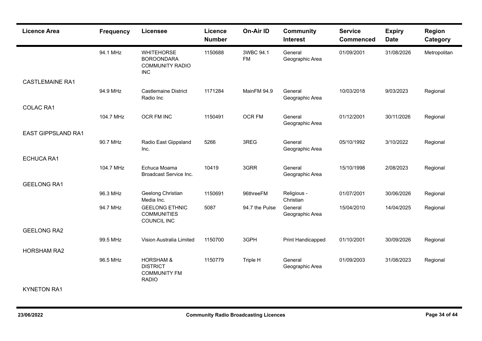| <b>Licence Area</b>       | <b>Frequency</b> | <b>Licensee</b>                                                                | <b>Licence</b><br><b>Number</b> | On-Air ID              | <b>Community</b><br><b>Interest</b> | <b>Service</b><br><b>Commenced</b> | <b>Expiry</b><br><b>Date</b> | <b>Region</b><br>Category |
|---------------------------|------------------|--------------------------------------------------------------------------------|---------------------------------|------------------------|-------------------------------------|------------------------------------|------------------------------|---------------------------|
|                           | 94.1 MHz         | <b>WHITEHORSE</b><br><b>BOROONDARA</b><br><b>COMMUNITY RADIO</b><br><b>INC</b> | 1150688                         | 3WBC 94.1<br><b>FM</b> | General<br>Geographic Area          | 01/09/2001                         | 31/08/2026                   | Metropolitan              |
| <b>CASTLEMAINE RA1</b>    |                  |                                                                                |                                 |                        |                                     |                                    |                              |                           |
|                           | 94.9 MHz         | <b>Castlemaine District</b><br>Radio Inc                                       | 1171284                         | MainFM 94.9            | General<br>Geographic Area          | 10/03/2018                         | 9/03/2023                    | Regional                  |
| <b>COLAC RA1</b>          |                  |                                                                                |                                 |                        |                                     |                                    |                              |                           |
|                           | 104.7 MHz        | OCR FM INC                                                                     | 1150491                         | OCR FM                 | General<br>Geographic Area          | 01/12/2001                         | 30/11/2026                   | Regional                  |
| <b>EAST GIPPSLAND RA1</b> |                  |                                                                                |                                 |                        |                                     |                                    |                              |                           |
|                           | 90.7 MHz         | Radio East Gippsland<br>Inc.                                                   | 5266                            | 3REG                   | General<br>Geographic Area          | 05/10/1992                         | 3/10/2022                    | Regional                  |
| <b>ECHUCA RA1</b>         |                  |                                                                                |                                 |                        |                                     |                                    |                              |                           |
|                           | 104.7 MHz        | Echuca Moama<br>Broadcast Service Inc.                                         | 10419                           | 3GRR                   | General<br>Geographic Area          | 15/10/1998                         | 2/08/2023                    | Regional                  |
| <b>GEELONG RA1</b>        |                  |                                                                                |                                 |                        |                                     |                                    |                              |                           |
|                           | 96.3 MHz         | Geelong Christian<br>Media Inc.                                                | 1150691                         | 96threeFM              | Religious -<br>Christian            | 01/07/2001                         | 30/06/2026                   | Regional                  |
|                           | 94.7 MHz         | <b>GEELONG ETHNIC</b><br><b>COMMUNITIES</b><br>COUNCIL INC                     | 5087                            | 94.7 the Pulse         | General<br>Geographic Area          | 15/04/2010                         | 14/04/2025                   | Regional                  |
| <b>GEELONG RA2</b>        |                  |                                                                                |                                 |                        |                                     |                                    |                              |                           |
|                           | 99.5 MHz         | Vision Australia Limited                                                       | 1150700                         | 3GPH                   | Print Handicapped                   | 01/10/2001                         | 30/09/2026                   | Regional                  |
| <b>HORSHAM RA2</b>        |                  |                                                                                |                                 |                        |                                     |                                    |                              |                           |
|                           | 96.5 MHz         | <b>HORSHAM &amp;</b><br><b>DISTRICT</b><br><b>COMMUNITY FM</b><br><b>RADIO</b> | 1150779                         | Triple H               | General<br>Geographic Area          | 01/09/2003                         | 31/08/2023                   | Regional                  |
| <b>KYNETON RA1</b>        |                  |                                                                                |                                 |                        |                                     |                                    |                              |                           |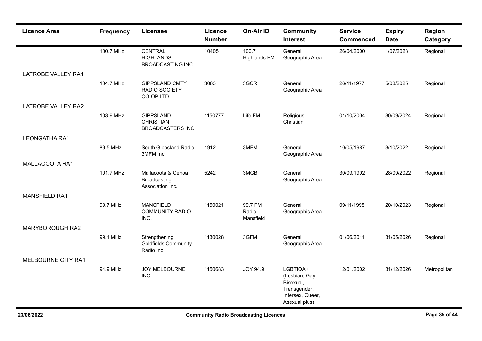| <b>Licence Area</b>       | <b>Frequency</b> | <b>Licensee</b>                                                 | Licence<br><b>Number</b> | On-Air ID                     | <b>Community</b><br><b>Interest</b>                                                          | <b>Service</b><br><b>Commenced</b> | <b>Expiry</b><br><b>Date</b> | <b>Region</b><br>Category |
|---------------------------|------------------|-----------------------------------------------------------------|--------------------------|-------------------------------|----------------------------------------------------------------------------------------------|------------------------------------|------------------------------|---------------------------|
|                           | 100.7 MHz        | <b>CENTRAL</b><br><b>HIGHLANDS</b><br><b>BROADCASTING INC</b>   | 10405                    | 100.7<br><b>Highlands FM</b>  | General<br>Geographic Area                                                                   | 26/04/2000                         | 1/07/2023                    | Regional                  |
| <b>LATROBE VALLEY RA1</b> |                  |                                                                 |                          |                               |                                                                                              |                                    |                              |                           |
|                           | 104.7 MHz        | <b>GIPPSLAND CMTY</b><br>RADIO SOCIETY<br>CO-OP LTD             | 3063                     | 3GCR                          | General<br>Geographic Area                                                                   | 26/11/1977                         | 5/08/2025                    | Regional                  |
| LATROBE VALLEY RA2        |                  |                                                                 |                          |                               |                                                                                              |                                    |                              |                           |
|                           | 103.9 MHz        | <b>GIPPSLAND</b><br><b>CHRISTIAN</b><br><b>BROADCASTERS INC</b> | 1150777                  | Life FM                       | Religious -<br>Christian                                                                     | 01/10/2004                         | 30/09/2024                   | Regional                  |
| <b>LEONGATHA RA1</b>      |                  |                                                                 |                          |                               |                                                                                              |                                    |                              |                           |
|                           | 89.5 MHz         | South Gippsland Radio<br>3MFM Inc.                              | 1912                     | 3MFM                          | General<br>Geographic Area                                                                   | 10/05/1987                         | 3/10/2022                    | Regional                  |
| MALLACOOTA RA1            |                  |                                                                 |                          |                               |                                                                                              |                                    |                              |                           |
|                           | 101.7 MHz        | Mallacoota & Genoa<br>Broadcasting<br>Association Inc.          | 5242                     | 3MGB                          | General<br>Geographic Area                                                                   | 30/09/1992                         | 28/09/2022                   | Regional                  |
| <b>MANSFIELD RA1</b>      |                  |                                                                 |                          |                               |                                                                                              |                                    |                              |                           |
|                           | 99.7 MHz         | <b>MANSFIELD</b><br><b>COMMUNITY RADIO</b><br>INC.              | 1150021                  | 99.7 FM<br>Radio<br>Mansfield | General<br>Geographic Area                                                                   | 09/11/1998                         | 20/10/2023                   | Regional                  |
| MARYBOROUGH RA2           |                  |                                                                 |                          |                               |                                                                                              |                                    |                              |                           |
|                           | 99.1 MHz         | Strengthening<br><b>Goldfields Community</b><br>Radio Inc.      | 1130028                  | 3GFM                          | General<br>Geographic Area                                                                   | 01/06/2011                         | 31/05/2026                   | Regional                  |
| MELBOURNE CITY RA1        |                  |                                                                 |                          |                               |                                                                                              |                                    |                              |                           |
|                           | 94.9 MHz         | JOY MELBOURNE<br>INC.                                           | 1150683                  | JOY 94.9                      | LGBTIQA+<br>(Lesbian, Gay,<br>Bisexual,<br>Transgender,<br>Intersex, Queer,<br>Asexual plus) | 12/01/2002                         | 31/12/2026                   | Metropolitan              |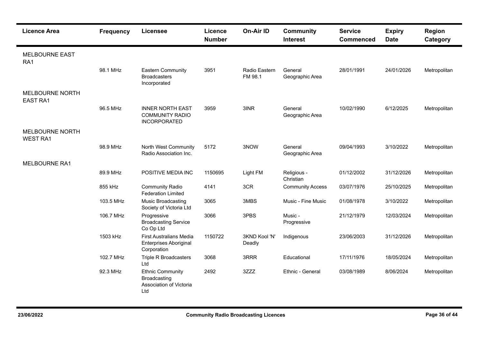| <b>Licence Area</b>                       | <b>Frequency</b> | <b>Licensee</b>                                                                  | Licence<br><b>Number</b> | On-Air ID                | <b>Community</b><br><b>Interest</b> | <b>Service</b><br><b>Commenced</b> | <b>Expiry</b><br><b>Date</b> | Region<br>Category |
|-------------------------------------------|------------------|----------------------------------------------------------------------------------|--------------------------|--------------------------|-------------------------------------|------------------------------------|------------------------------|--------------------|
| <b>MELBOURNE EAST</b><br>RA1              |                  |                                                                                  |                          |                          |                                     |                                    |                              |                    |
|                                           | 98.1 MHz         | <b>Eastern Community</b><br><b>Broadcasters</b><br>Incorporated                  | 3951                     | Radio Eastern<br>FM 98.1 | General<br>Geographic Area          | 28/01/1991                         | 24/01/2026                   | Metropolitan       |
| <b>MELBOURNE NORTH</b><br><b>EAST RA1</b> |                  |                                                                                  |                          |                          |                                     |                                    |                              |                    |
|                                           | 96.5 MHz         | <b>INNER NORTH EAST</b><br><b>COMMUNITY RADIO</b><br><b>INCORPORATED</b>         | 3959                     | 3INR                     | General<br>Geographic Area          | 10/02/1990                         | 6/12/2025                    | Metropolitan       |
| <b>MELBOURNE NORTH</b><br><b>WEST RA1</b> |                  |                                                                                  |                          |                          |                                     |                                    |                              |                    |
|                                           | 98.9 MHz         | North West Community<br>Radio Association Inc.                                   | 5172                     | 3NOW                     | General<br>Geographic Area          | 09/04/1993                         | 3/10/2022                    | Metropolitan       |
| <b>MELBOURNE RA1</b>                      |                  |                                                                                  |                          |                          |                                     |                                    |                              |                    |
|                                           | 89.9 MHz         | POSITIVE MEDIA INC                                                               | 1150695                  | Light FM                 | Religious -<br>Christian            | 01/12/2002                         | 31/12/2026                   | Metropolitan       |
|                                           | 855 kHz          | <b>Community Radio</b><br><b>Federation Limited</b>                              | 4141                     | 3CR                      | <b>Community Access</b>             | 03/07/1976                         | 25/10/2025                   | Metropolitan       |
|                                           | 103.5 MHz        | Music Broadcasting<br>Society of Victoria Ltd                                    | 3065                     | 3MBS                     | Music - Fine Music                  | 01/08/1978                         | 3/10/2022                    | Metropolitan       |
|                                           | 106.7 MHz        | Progressive<br><b>Broadcasting Service</b><br>Co Op Ltd                          | 3066                     | 3PBS                     | Music -<br>Progressive              | 21/12/1979                         | 12/03/2024                   | Metropolitan       |
|                                           | 1503 kHz         | <b>First Australians Media</b><br><b>Enterprises Aboriginal</b><br>Corporation   | 1150722                  | 3KND Kool 'N'<br>Deadly  | Indigenous                          | 23/06/2003                         | 31/12/2026                   | Metropolitan       |
|                                           | 102.7 MHz        | <b>Triple R Broadcasters</b><br>Ltd                                              | 3068                     | 3RRR                     | Educational                         | 17/11/1976                         | 18/05/2024                   | Metropolitan       |
|                                           | 92.3 MHz         | <b>Ethnic Community</b><br><b>Broadcasting</b><br>Association of Victoria<br>Ltd | 2492                     | 3ZZZ                     | Ethnic - General                    | 03/08/1989                         | 8/06/2024                    | Metropolitan       |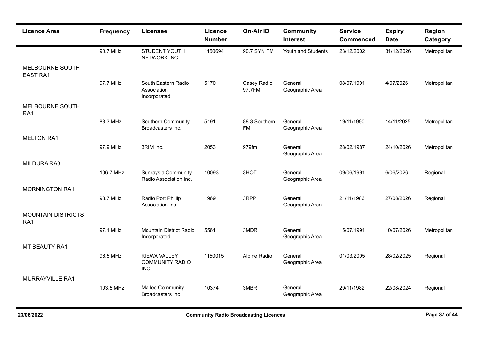| <b>Licence Area</b>                          | <b>Frequency</b> | <b>Licensee</b>                                             | <b>Licence</b><br><b>Number</b> | <b>On-Air ID</b>           | <b>Community</b><br><b>Interest</b> | <b>Service</b><br><b>Commenced</b> | <b>Expiry</b><br><b>Date</b> | Region<br>Category |
|----------------------------------------------|------------------|-------------------------------------------------------------|---------------------------------|----------------------------|-------------------------------------|------------------------------------|------------------------------|--------------------|
|                                              | 90.7 MHz         | STUDENT YOUTH<br><b>NETWORK INC</b>                         | 1150694                         | 90.7 SYN FM                | Youth and Students                  | 23/12/2002                         | 31/12/2026                   | Metropolitan       |
| MELBOURNE SOUTH<br><b>EAST RA1</b>           |                  |                                                             |                                 |                            |                                     |                                    |                              |                    |
|                                              | 97.7 MHz         | South Eastern Radio<br>Association<br>Incorporated          | 5170                            | Casey Radio<br>97.7FM      | General<br>Geographic Area          | 08/07/1991                         | 4/07/2026                    | Metropolitan       |
| MELBOURNE SOUTH<br>RA1                       |                  |                                                             |                                 |                            |                                     |                                    |                              |                    |
|                                              | 88.3 MHz         | Southern Community<br>Broadcasters Inc.                     | 5191                            | 88.3 Southern<br><b>FM</b> | General<br>Geographic Area          | 19/11/1990                         | 14/11/2025                   | Metropolitan       |
| <b>MELTON RA1</b>                            |                  |                                                             |                                 |                            |                                     |                                    |                              |                    |
|                                              | 97.9 MHz         | 3RIM Inc.                                                   | 2053                            | 979fm                      | General<br>Geographic Area          | 28/02/1987                         | 24/10/2026                   | Metropolitan       |
| MILDURA RA3                                  |                  |                                                             |                                 |                            |                                     |                                    |                              |                    |
|                                              | 106.7 MHz        | Sunraysia Community<br>Radio Association Inc.               | 10093                           | 3HOT                       | General<br>Geographic Area          | 09/06/1991                         | 6/06/2026                    | Regional           |
| <b>MORNINGTON RA1</b>                        |                  |                                                             |                                 |                            |                                     |                                    |                              |                    |
|                                              | 98.7 MHz         | Radio Port Phillip<br>Association Inc.                      | 1969                            | 3RPP                       | General<br>Geographic Area          | 21/11/1986                         | 27/08/2026                   | Regional           |
| <b>MOUNTAIN DISTRICTS</b><br>RA <sub>1</sub> |                  |                                                             |                                 |                            |                                     |                                    |                              |                    |
|                                              | 97.1 MHz         | <b>Mountain District Radio</b><br>Incorporated              | 5561                            | 3MDR                       | General<br>Geographic Area          | 15/07/1991                         | 10/07/2026                   | Metropolitan       |
| MT BEAUTY RA1                                |                  |                                                             |                                 |                            |                                     |                                    |                              |                    |
|                                              | 96.5 MHz         | <b>KIEWA VALLEY</b><br><b>COMMUNITY RADIO</b><br><b>INC</b> | 1150015                         | Alpine Radio               | General<br>Geographic Area          | 01/03/2005                         | 28/02/2025                   | Regional           |
| MURRAYVILLE RA1                              |                  |                                                             |                                 |                            |                                     |                                    |                              |                    |
|                                              | 103.5 MHz        | <b>Mallee Community</b><br><b>Broadcasters Inc</b>          | 10374                           | 3MBR                       | General<br>Geographic Area          | 29/11/1982                         | 22/08/2024                   | Regional           |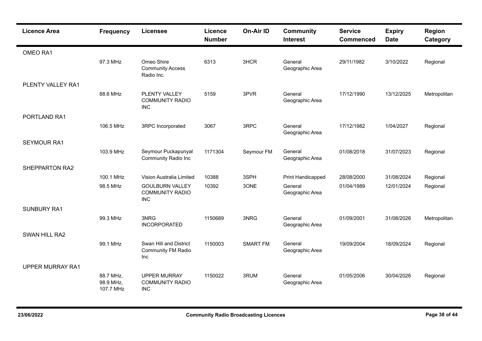| <b>Licence Area</b>     | <b>Frequency</b>                    | <b>Licensee</b>                                                | Licence<br><b>Number</b> | On-Air ID       | <b>Community</b><br><b>Interest</b> | <b>Service</b><br><b>Commenced</b> | <b>Expiry</b><br><b>Date</b> | Region<br>Category |
|-------------------------|-------------------------------------|----------------------------------------------------------------|--------------------------|-----------------|-------------------------------------|------------------------------------|------------------------------|--------------------|
| OMEO RA1                |                                     |                                                                |                          |                 |                                     |                                    |                              |                    |
|                         | 97.3 MHz                            | Omeo Shire<br><b>Community Access</b><br>Radio Inc.            | 6313                     | 3HCR            | General<br>Geographic Area          | 29/11/1982                         | 3/10/2022                    | Regional           |
| PLENTY VALLEY RA1       |                                     |                                                                |                          |                 |                                     |                                    |                              |                    |
|                         | 88.6 MHz                            | PLENTY VALLEY<br><b>COMMUNITY RADIO</b><br><b>INC</b>          | 5159                     | 3PVR            | General<br>Geographic Area          | 17/12/1990                         | 13/12/2025                   | Metropolitan       |
| PORTLAND RA1            |                                     |                                                                |                          |                 |                                     |                                    |                              |                    |
|                         | 106.5 MHz                           | 3RPC Incorporated                                              | 3067                     | 3RPC            | General<br>Geographic Area          | 17/12/1982                         | 1/04/2027                    | Regional           |
| <b>SEYMOUR RA1</b>      |                                     |                                                                |                          |                 |                                     |                                    |                              |                    |
|                         | 103.9 MHz                           | Seymour Puckapunyal<br><b>Community Radio Inc</b>              | 1171304                  | Seymour FM      | General<br>Geographic Area          | 01/08/2018                         | 31/07/2023                   | Regional           |
| SHEPPARTON RA2          |                                     |                                                                |                          |                 |                                     |                                    |                              |                    |
|                         | 100.1 MHz                           | Vision Australia Limited                                       | 10388                    | 3SPH            | Print Handicapped                   | 28/08/2000                         | 31/08/2024                   | Regional           |
|                         | 98.5 MHz                            | <b>GOULBURN VALLEY</b><br><b>COMMUNITY RADIO</b><br><b>INC</b> | 10392                    | 3ONE            | General<br>Geographic Area          | 01/04/1989                         | 12/01/2024                   | Regional           |
| <b>SUNBURY RA1</b>      |                                     |                                                                |                          |                 |                                     |                                    |                              |                    |
|                         | 99.3 MHz                            | 3NRG<br><b>INCORPORATED</b>                                    | 1150689                  | 3NRG            | General<br>Geographic Area          | 01/09/2001                         | 31/08/2026                   | Metropolitan       |
| SWAN HILL RA2           |                                     |                                                                |                          |                 |                                     |                                    |                              |                    |
|                         | 99.1 MHz                            | Swan Hill and District<br><b>Community FM Radio</b><br>Inc     | 1150003                  | <b>SMART FM</b> | General<br>Geographic Area          | 19/09/2004                         | 18/09/2024                   | Regional           |
| <b>UPPER MURRAY RA1</b> |                                     |                                                                |                          |                 |                                     |                                    |                              |                    |
|                         | 88.7 MHz,<br>98.9 MHz,<br>107.7 MHz | <b>UPPER MURRAY</b><br><b>COMMUNITY RADIO</b><br><b>INC</b>    | 1150022                  | 3RUM            | General<br>Geographic Area          | 01/05/2006                         | 30/04/2026                   | Regional           |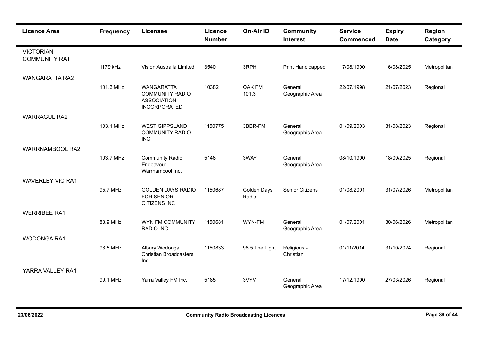| <b>Licence Area</b>                      | <b>Frequency</b> | <b>Licensee</b>                                                                          | Licence<br><b>Number</b> | <b>On-Air ID</b>     | <b>Community</b><br><b>Interest</b> | <b>Service</b><br><b>Commenced</b> | <b>Expiry</b><br><b>Date</b> | Region<br>Category |
|------------------------------------------|------------------|------------------------------------------------------------------------------------------|--------------------------|----------------------|-------------------------------------|------------------------------------|------------------------------|--------------------|
| <b>VICTORIAN</b><br><b>COMMUNITY RA1</b> |                  |                                                                                          |                          |                      |                                     |                                    |                              |                    |
|                                          | 1179 kHz         | Vision Australia Limited                                                                 | 3540                     | 3RPH                 | Print Handicapped                   | 17/08/1990                         | 16/08/2025                   | Metropolitan       |
| <b>WANGARATTA RA2</b>                    |                  |                                                                                          |                          |                      |                                     |                                    |                              |                    |
|                                          | 101.3 MHz        | <b>WANGARATTA</b><br><b>COMMUNITY RADIO</b><br><b>ASSOCIATION</b><br><b>INCORPORATED</b> | 10382                    | OAK FM<br>101.3      | General<br>Geographic Area          | 22/07/1998                         | 21/07/2023                   | Regional           |
| <b>WARRAGUL RA2</b>                      |                  |                                                                                          |                          |                      |                                     |                                    |                              |                    |
|                                          | 103.1 MHz        | <b>WEST GIPPSLAND</b><br><b>COMMUNITY RADIO</b><br><b>INC</b>                            | 1150775                  | 3BBR-FM              | General<br>Geographic Area          | 01/09/2003                         | 31/08/2023                   | Regional           |
| <b>WARRNAMBOOL RA2</b>                   |                  |                                                                                          |                          |                      |                                     |                                    |                              |                    |
|                                          | 103.7 MHz        | <b>Community Radio</b><br>Endeavour<br>Warrnambool Inc.                                  | 5146                     | 3WAY                 | General<br>Geographic Area          | 08/10/1990                         | 18/09/2025                   | Regional           |
| <b>WAVERLEY VIC RA1</b>                  |                  |                                                                                          |                          |                      |                                     |                                    |                              |                    |
|                                          | 95.7 MHz         | <b>GOLDEN DAYS RADIO</b><br><b>FOR SENIOR</b><br><b>CITIZENS INC</b>                     | 1150687                  | Golden Days<br>Radio | <b>Senior Citizens</b>              | 01/08/2001                         | 31/07/2026                   | Metropolitan       |
| <b>WERRIBEE RA1</b>                      |                  |                                                                                          |                          |                      |                                     |                                    |                              |                    |
|                                          | 88.9 MHz         | WYN FM COMMUNITY<br><b>RADIO INC</b>                                                     | 1150681                  | WYN-FM               | General<br>Geographic Area          | 01/07/2001                         | 30/06/2026                   | Metropolitan       |
| <b>WODONGA RA1</b>                       |                  |                                                                                          |                          |                      |                                     |                                    |                              |                    |
|                                          | 98.5 MHz         | Albury Wodonga<br><b>Christian Broadcasters</b><br>Inc.                                  | 1150833                  | 98.5 The Light       | Religious -<br>Christian            | 01/11/2014                         | 31/10/2024                   | Regional           |
| YARRA VALLEY RA1                         |                  |                                                                                          |                          |                      |                                     |                                    |                              |                    |
|                                          | 99.1 MHz         | Yarra Valley FM Inc.                                                                     | 5185                     | 3VYV                 | General<br>Geographic Area          | 17/12/1990                         | 27/03/2026                   | Regional           |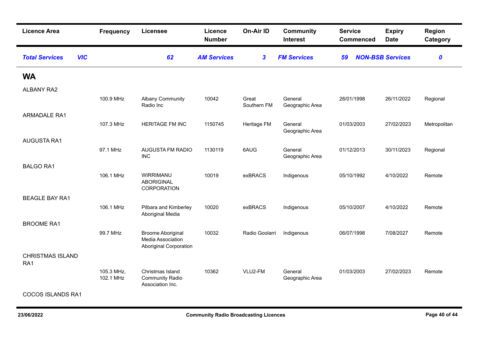| <b>Licence Area</b>                 | <b>Frequency</b>        | <b>Licensee</b>                                                                | Licence<br><b>Number</b> | On-Air ID            | <b>Community</b><br><b>Interest</b> | <b>Service</b><br><b>Commenced</b> | <b>Expiry</b><br><b>Date</b> | Region<br>Category |
|-------------------------------------|-------------------------|--------------------------------------------------------------------------------|--------------------------|----------------------|-------------------------------------|------------------------------------|------------------------------|--------------------|
| <b>VIC</b><br><b>Total Services</b> |                         | 62                                                                             | <b>AM Services</b>       | $\boldsymbol{3}$     | <b>FM Services</b>                  | 59                                 | <b>NON-BSB Services</b>      | $\boldsymbol{o}$   |
| <b>WA</b>                           |                         |                                                                                |                          |                      |                                     |                                    |                              |                    |
| <b>ALBANY RA2</b>                   |                         |                                                                                |                          |                      |                                     |                                    |                              |                    |
|                                     | 100.9 MHz               | <b>Albany Community</b><br>Radio Inc                                           | 10042                    | Great<br>Southern FM | General<br>Geographic Area          | 26/01/1998                         | 26/11/2022                   | Regional           |
| <b>ARMADALE RA1</b>                 |                         |                                                                                |                          |                      |                                     |                                    |                              |                    |
|                                     | 107.3 MHz               | HERITAGE FM INC                                                                | 1150745                  | Heritage FM          | General<br>Geographic Area          | 01/03/2003                         | 27/02/2023                   | Metropolitan       |
| <b>AUGUSTA RA1</b>                  |                         |                                                                                |                          |                      |                                     |                                    |                              |                    |
|                                     | 97.1 MHz                | AUGUSTA FM RADIO<br><b>INC</b>                                                 | 1130119                  | 6AUG                 | General<br>Geographic Area          | 01/12/2013                         | 30/11/2023                   | Regional           |
| <b>BALGO RA1</b>                    |                         |                                                                                |                          |                      |                                     |                                    |                              |                    |
|                                     | 106.1 MHz               | WIRRIMANU<br><b>ABORIGINAL</b><br>CORPORATION                                  | 10019                    | exBRACS              | Indigenous                          | 05/10/1992                         | 4/10/2022                    | Remote             |
| <b>BEAGLE BAY RA1</b>               |                         |                                                                                |                          |                      |                                     |                                    |                              |                    |
|                                     | 106.1 MHz               | Pilbara and Kimberley<br>Aboriginal Media                                      | 10020                    | exBRACS              | Indigenous                          | 05/10/2007                         | 4/10/2022                    | Remote             |
| <b>BROOME RA1</b>                   |                         |                                                                                |                          |                      |                                     |                                    |                              |                    |
|                                     | 99.7 MHz                | <b>Broome Aboriginal</b><br>Media Association<br><b>Aboriginal Corporation</b> | 10032                    | Radio Goolarri       | Indigenous                          | 06/07/1998                         | 7/08/2027                    | Remote             |
| <b>CHRISTMAS ISLAND</b><br>RA1      |                         |                                                                                |                          |                      |                                     |                                    |                              |                    |
|                                     | 105.3 MHz,<br>102.1 MHz | Christmas Island<br><b>Community Radio</b><br>Association Inc.                 | 10362                    | VLU2-FM              | General<br>Geographic Area          | 01/03/2003                         | 27/02/2023                   | Remote             |
| <b>COCOS ISLANDS RA1</b>            |                         |                                                                                |                          |                      |                                     |                                    |                              |                    |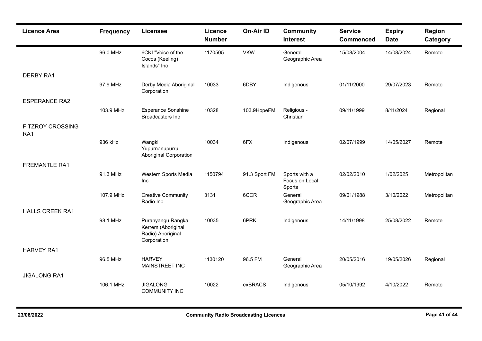| <b>Licence Area</b>            | <b>Frequency</b> | <b>Licensee</b>                                                             | Licence<br><b>Number</b> | <b>On-Air ID</b> | <b>Community</b><br><b>Interest</b>       | <b>Service</b><br><b>Commenced</b> | <b>Expiry</b><br><b>Date</b> | Region<br>Category |
|--------------------------------|------------------|-----------------------------------------------------------------------------|--------------------------|------------------|-------------------------------------------|------------------------------------|------------------------------|--------------------|
|                                | 96.0 MHz         | 6CKI "Voice of the<br>Cocos (Keeling)<br>Islands" Inc                       | 1170505                  | <b>VKW</b>       | General<br>Geographic Area                | 15/08/2004                         | 14/08/2024                   | Remote             |
| <b>DERBY RA1</b>               |                  |                                                                             |                          |                  |                                           |                                    |                              |                    |
|                                | 97.9 MHz         | Derby Media Aboriginal<br>Corporation                                       | 10033                    | 6DBY             | Indigenous                                | 01/11/2000                         | 29/07/2023                   | Remote             |
| <b>ESPERANCE RA2</b>           |                  |                                                                             |                          |                  |                                           |                                    |                              |                    |
|                                | 103.9 MHz        | <b>Esperance Sonshine</b><br><b>Broadcasters Inc</b>                        | 10328                    | 103.9HopeFM      | Religious -<br>Christian                  | 09/11/1999                         | 8/11/2024                    | Regional           |
| <b>FITZROY CROSSING</b><br>RA1 |                  |                                                                             |                          |                  |                                           |                                    |                              |                    |
|                                | 936 kHz          | Wangki<br>Yupurnanupurru<br><b>Aboriginal Corporation</b>                   | 10034                    | 6FX              | Indigenous                                | 02/07/1999                         | 14/05/2027                   | Remote             |
| <b>FREMANTLE RA1</b>           |                  |                                                                             |                          |                  |                                           |                                    |                              |                    |
|                                | 91.3 MHz         | Western Sports Media<br><b>Inc</b>                                          | 1150794                  | 91.3 Sport FM    | Sports with a<br>Focus on Local<br>Sports | 02/02/2010                         | 1/02/2025                    | Metropolitan       |
|                                | 107.9 MHz        | <b>Creative Community</b><br>Radio Inc.                                     | 3131                     | 6CCR             | General<br>Geographic Area                | 09/01/1988                         | 3/10/2022                    | Metropolitan       |
| <b>HALLS CREEK RA1</b>         |                  |                                                                             |                          |                  |                                           |                                    |                              |                    |
|                                | 98.1 MHz         | Puranyangu Rangka<br>Kerrem (Aboriginal<br>Radio) Aboriginal<br>Corporation | 10035                    | 6PRK             | Indigenous                                | 14/11/1998                         | 25/08/2022                   | Remote             |
| <b>HARVEY RA1</b>              |                  |                                                                             |                          |                  |                                           |                                    |                              |                    |
|                                | 96.5 MHz         | <b>HARVEY</b><br>MAINSTREET INC                                             | 1130120                  | 96.5 FM          | General<br>Geographic Area                | 20/05/2016                         | 19/05/2026                   | Regional           |
| <b>JIGALONG RA1</b>            |                  |                                                                             |                          |                  |                                           |                                    |                              |                    |
|                                | 106.1 MHz        | <b>JIGALONG</b><br><b>COMMUNITY INC</b>                                     | 10022                    | exBRACS          | Indigenous                                | 05/10/1992                         | 4/10/2022                    | Remote             |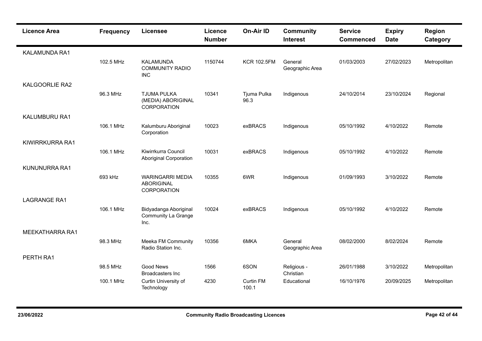| <b>Licence Area</b>    | <b>Frequency</b> | <b>Licensee</b>                                             | Licence<br><b>Number</b> | On-Air ID                 | <b>Community</b><br><b>Interest</b> | <b>Service</b><br><b>Commenced</b> | <b>Expiry</b><br><b>Date</b> | <b>Region</b><br>Category |
|------------------------|------------------|-------------------------------------------------------------|--------------------------|---------------------------|-------------------------------------|------------------------------------|------------------------------|---------------------------|
| KALAMUNDA RA1          |                  |                                                             |                          |                           |                                     |                                    |                              |                           |
|                        | 102.5 MHz        | <b>KALAMUNDA</b><br><b>COMMUNITY RADIO</b><br><b>INC</b>    | 1150744                  | <b>KCR 102.5FM</b>        | General<br>Geographic Area          | 01/03/2003                         | 27/02/2023                   | Metropolitan              |
| <b>KALGOORLIE RA2</b>  |                  |                                                             |                          |                           |                                     |                                    |                              |                           |
|                        | 96.3 MHz         | <b>TJUMA PULKA</b><br>(MEDIA) ABORIGINAL<br>CORPORATION     | 10341                    | Tjuma Pulka<br>96.3       | Indigenous                          | 24/10/2014                         | 23/10/2024                   | Regional                  |
| KALUMBURU RA1          |                  |                                                             |                          |                           |                                     |                                    |                              |                           |
|                        | 106.1 MHz        | Kalumburu Aboriginal<br>Corporation                         | 10023                    | exBRACS                   | Indigenous                          | 05/10/1992                         | 4/10/2022                    | Remote                    |
| KIWIRRKURRA RA1        |                  |                                                             |                          |                           |                                     |                                    |                              |                           |
|                        | 106.1 MHz        | Kiwirrkurra Council<br><b>Aboriginal Corporation</b>        | 10031                    | exBRACS                   | Indigenous                          | 05/10/1992                         | 4/10/2022                    | Remote                    |
| KUNUNURRA RA1          |                  |                                                             |                          |                           |                                     |                                    |                              |                           |
|                        | 693 kHz          | <b>WARINGARRI MEDIA</b><br><b>ABORIGINAL</b><br>CORPORATION | 10355                    | 6WR                       | Indigenous                          | 01/09/1993                         | 3/10/2022                    | Remote                    |
| <b>LAGRANGE RA1</b>    |                  |                                                             |                          |                           |                                     |                                    |                              |                           |
|                        | 106.1 MHz        | Bidyadanga Aboriginal<br><b>Community La Grange</b><br>Inc. | 10024                    | exBRACS                   | Indigenous                          | 05/10/1992                         | 4/10/2022                    | Remote                    |
| <b>MEEKATHARRA RA1</b> |                  |                                                             |                          |                           |                                     |                                    |                              |                           |
|                        | 98.3 MHz         | Meeka FM Community<br>Radio Station Inc.                    | 10356                    | 6MKA                      | General<br>Geographic Area          | 08/02/2000                         | 8/02/2024                    | Remote                    |
| PERTH RA1              |                  |                                                             |                          |                           |                                     |                                    |                              |                           |
|                        | 98.5 MHz         | <b>Good News</b><br><b>Broadcasters Inc</b>                 | 1566                     | 6SON                      | Religious -<br>Christian            | 26/01/1988                         | 3/10/2022                    | Metropolitan              |
|                        | 100.1 MHz        | Curtin University of<br>Technology                          | 4230                     | <b>Curtin FM</b><br>100.1 | Educational                         | 16/10/1976                         | 20/09/2025                   | Metropolitan              |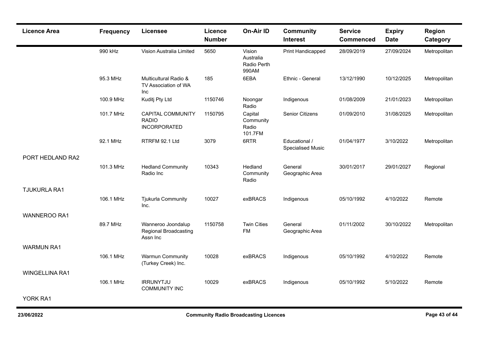| <b>Licence Area</b>   | <b>Frequency</b> | <b>Licensee</b>                                                 | Licence<br><b>Number</b> | <b>On-Air ID</b>                            | <b>Community</b><br><b>Interest</b>       | <b>Service</b><br><b>Commenced</b> | <b>Expiry</b><br><b>Date</b> | Region<br>Category |
|-----------------------|------------------|-----------------------------------------------------------------|--------------------------|---------------------------------------------|-------------------------------------------|------------------------------------|------------------------------|--------------------|
|                       | 990 kHz          | Vision Australia Limited                                        | 5650                     | Vision<br>Australia<br>Radio Perth<br>990AM | Print Handicapped                         | 28/09/2019                         | 27/09/2024                   | Metropolitan       |
|                       | 95.3 MHz         | Multicultural Radio &<br>TV Association of WA<br>Inc            | 185                      | 6EBA                                        | Ethnic - General                          | 13/12/1990                         | 10/12/2025                   | Metropolitan       |
|                       | 100.9 MHz        | Kuditj Pty Ltd                                                  | 1150746                  | Noongar<br>Radio                            | Indigenous                                | 01/08/2009                         | 21/01/2023                   | Metropolitan       |
|                       | 101.7 MHz        | <b>CAPITAL COMMUNITY</b><br><b>RADIO</b><br><b>INCORPORATED</b> | 1150795                  | Capital<br>Community<br>Radio<br>101.7FM    | <b>Senior Citizens</b>                    | 01/09/2010                         | 31/08/2025                   | Metropolitan       |
|                       | 92.1 MHz         | RTRFM 92.1 Ltd                                                  | 3079                     | 6RTR                                        | Educational /<br><b>Specialised Music</b> | 01/04/1977                         | 3/10/2022                    | Metropolitan       |
| PORT HEDLAND RA2      |                  |                                                                 |                          |                                             |                                           |                                    |                              |                    |
|                       | 101.3 MHz        | <b>Hedland Community</b><br>Radio Inc                           | 10343                    | Hedland<br>Community<br>Radio               | General<br>Geographic Area                | 30/01/2017                         | 29/01/2027                   | Regional           |
| <b>TJUKURLA RA1</b>   |                  |                                                                 |                          |                                             |                                           |                                    |                              |                    |
|                       | 106.1 MHz        | <b>Tjukurla Community</b><br>Inc.                               | 10027                    | exBRACS                                     | Indigenous                                | 05/10/1992                         | 4/10/2022                    | Remote             |
| <b>WANNEROO RA1</b>   |                  |                                                                 |                          |                                             |                                           |                                    |                              |                    |
|                       | 89.7 MHz         | Wanneroo Joondalup<br><b>Regional Broadcasting</b><br>Assn Inc  | 1150758                  | <b>Twin Cities</b><br>FM                    | General<br>Geographic Area                | 01/11/2002                         | 30/10/2022                   | Metropolitan       |
| <b>WARMUN RA1</b>     |                  |                                                                 |                          |                                             |                                           |                                    |                              |                    |
|                       | 106.1 MHz        | <b>Warmun Community</b><br>(Turkey Creek) Inc.                  | 10028                    | exBRACS                                     | Indigenous                                | 05/10/1992                         | 4/10/2022                    | Remote             |
| <b>WINGELLINA RA1</b> |                  |                                                                 |                          |                                             |                                           |                                    |                              |                    |
|                       | 106.1 MHz        | <b>IRRUNYTJU</b><br><b>COMMUNITY INC</b>                        | 10029                    | exBRACS                                     | Indigenous                                | 05/10/1992                         | 5/10/2022                    | Remote             |
| YORK RA1              |                  |                                                                 |                          |                                             |                                           |                                    |                              |                    |